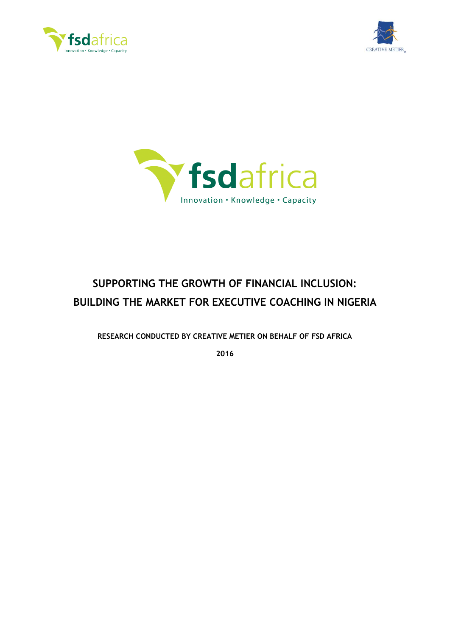





# **SUPPORTING THE GROWTH OF FINANCIAL INCLUSION: BUILDING THE MARKET FOR EXECUTIVE COACHING IN NIGERIA**

**RESEARCH CONDUCTED BY CREATIVE METIER ON BEHALF OF FSD AFRICA**

**2016**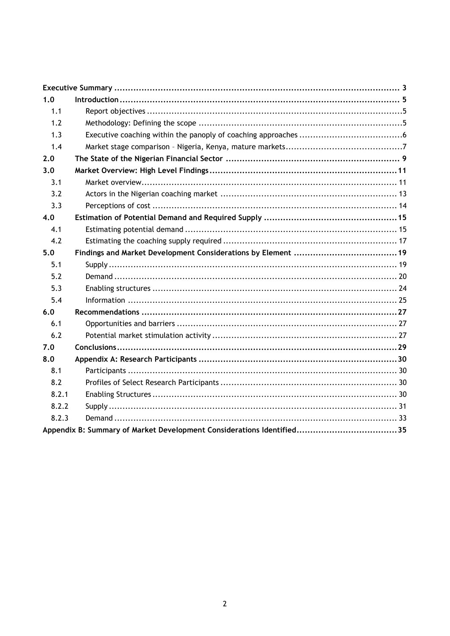| 1.0   |  |  |  |  |
|-------|--|--|--|--|
| 1.1   |  |  |  |  |
| 1.2   |  |  |  |  |
| 1.3   |  |  |  |  |
| 1.4   |  |  |  |  |
| 2.0   |  |  |  |  |
| 3.0   |  |  |  |  |
| 3.1   |  |  |  |  |
| 3.2   |  |  |  |  |
| 3.3   |  |  |  |  |
| 4.0   |  |  |  |  |
| 4.1   |  |  |  |  |
| 4.2   |  |  |  |  |
| 5.0   |  |  |  |  |
| 5.1   |  |  |  |  |
| 5.2   |  |  |  |  |
| 5.3   |  |  |  |  |
| 5.4   |  |  |  |  |
| 6.0   |  |  |  |  |
| 6.1   |  |  |  |  |
| 6.2   |  |  |  |  |
| 7.0   |  |  |  |  |
| 8.0   |  |  |  |  |
| 8.1   |  |  |  |  |
| 8.2   |  |  |  |  |
| 8.2.1 |  |  |  |  |
| 8.2.2 |  |  |  |  |
| 8.2.3 |  |  |  |  |
|       |  |  |  |  |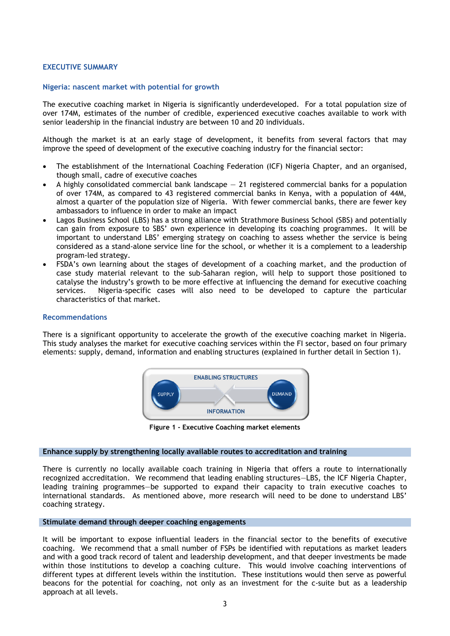#### <span id="page-2-0"></span>**EXECUTIVE SUMMARY**

#### **Nigeria: nascent market with potential for growth**

The executive coaching market in Nigeria is significantly underdeveloped. For a total population size of over 174M, estimates of the number of credible, experienced executive coaches available to work with senior leadership in the financial industry are between 10 and 20 individuals.

Although the market is at an early stage of development, it benefits from several factors that may improve the speed of development of the executive coaching industry for the financial sector:

- The establishment of the International Coaching Federation (ICF) Nigeria Chapter, and an organised, though small, cadre of executive coaches
- A highly consolidated commercial bank landscape  $-21$  registered commercial banks for a population of over 174M, as compared to 43 registered commercial banks in Kenya, with a population of 44M, almost a quarter of the population size of Nigeria. With fewer commercial banks, there are fewer key ambassadors to influence in order to make an impact
- Lagos Business School (LBS) has a strong alliance with Strathmore Business School (SBS) and potentially can gain from exposure to SBS' own experience in developing its coaching programmes. It will be important to understand LBS' emerging strategy on coaching to assess whether the service is being considered as a stand-alone service line for the school, or whether it is a complement to a leadership program-led strategy.
- FSDA's own learning about the stages of development of a coaching market, and the production of case study material relevant to the sub-Saharan region, will help to support those positioned to catalyse the industry's growth to be more effective at influencing the demand for executive coaching services. Nigeria-specific cases will also need to be developed to capture the particular characteristics of that market.

#### **Recommendations**

There is a significant opportunity to accelerate the growth of the executive coaching market in Nigeria. This study analyses the market for executive coaching services within the FI sector, based on four primary elements: supply, demand, information and enabling structures (explained in further detail in Section 1).



**Figure 1 - Executive Coaching market elements**

## **Enhance supply by strengthening locally available routes to accreditation and training**

There is currently no locally available coach training in Nigeria that offers a route to internationally recognized accreditation. We recommend that leading enabling structures—LBS, the ICF Nigeria Chapter, leading training programmes—be supported to expand their capacity to train executive coaches to international standards. As mentioned above, more research will need to be done to understand LBS' coaching strategy.

#### **Stimulate demand through deeper coaching engagements**

It will be important to expose influential leaders in the financial sector to the benefits of executive coaching. We recommend that a small number of FSPs be identified with reputations as market leaders and with a good track record of talent and leadership development, and that deeper investments be made within those institutions to develop a coaching culture. This would involve coaching interventions of different types at different levels within the institution. These institutions would then serve as powerful beacons for the potential for coaching, not only as an investment for the c-suite but as a leadership ENABLING STRUCTURES<br> **ENABLING STRUCTURES**<br> **ENABLING STRUCTURES**<br> **ENEORMATION**<br> **ENEORMATION**<br> **ENEORMATION**<br> **ENEORMATION**<br> **ENEORMATION**<br> **ENEORMATION**<br> **ENEORMATION**<br> **ENEORMATION**<br> **ENEORMATION**<br> **ENEORMATION**<br> **ENEO**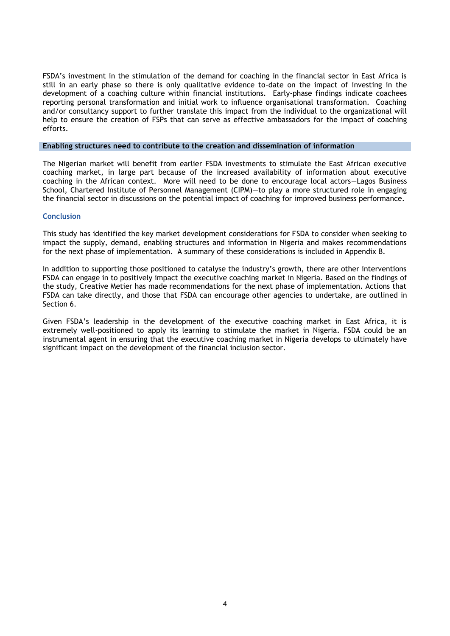FSDA's investment in the stimulation of the demand for coaching in the financial sector in East Africa is still in an early phase so there is only qualitative evidence to-date on the impact of investing in the development of a coaching culture within financial institutions. Early-phase findings indicate coachees reporting personal transformation and initial work to influence organisational transformation. Coaching and/or consultancy support to further translate this impact from the individual to the organizational will help to ensure the creation of FSPs that can serve as effective ambassadors for the impact of coaching efforts.

#### **Enabling structures need to contribute to the creation and dissemination of information**

The Nigerian market will benefit from earlier FSDA investments to stimulate the East African executive coaching market, in large part because of the increased availability of information about executive coaching in the African context. More will need to be done to encourage local actors—Lagos Business School, Chartered Institute of Personnel Management (CIPM)—to play a more structured role in engaging the financial sector in discussions on the potential impact of coaching for improved business performance.

#### **Conclusion**

This study has identified the key market development considerations for FSDA to consider when seeking to impact the supply, demand, enabling structures and information in Nigeria and makes recommendations for the next phase of implementation. A summary of these considerations is included in Appendix B.

In addition to supporting those positioned to catalyse the industry's growth, there are other interventions FSDA can engage in to positively impact the executive coaching market in Nigeria. Based on the findings of the study, Creative Metier has made recommendations for the next phase of implementation. Actions that FSDA can take directly, and those that FSDA can encourage other agencies to undertake, are outlined in Section 6.

Given FSDA's leadership in the development of the executive coaching market in East Africa, it is extremely well-positioned to apply its learning to stimulate the market in Nigeria. FSDA could be an instrumental agent in ensuring that the executive coaching market in Nigeria develops to ultimately have significant impact on the development of the financial inclusion sector.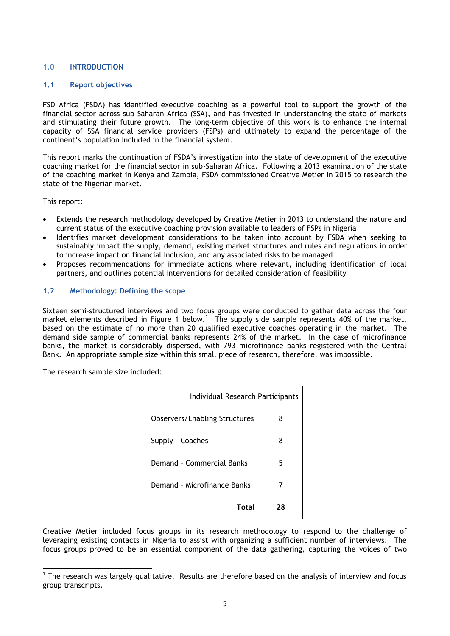## <span id="page-4-0"></span>**1.0 INTRODUCTION**

## <span id="page-4-1"></span>**1.1 Report objectives**

FSD Africa (FSDA) has identified executive coaching as a powerful tool to support the growth of the financial sector across sub-Saharan Africa (SSA), and has invested in understanding the state of markets and stimulating their future growth. The long-term objective of this work is to enhance the internal capacity of SSA financial service providers (FSPs) and ultimately to expand the percentage of the continent's population included in the financial system.

This report marks the continuation of FSDA's investigation into the state of development of the executive coaching market for the financial sector in sub-Saharan Africa. Following a 2013 examination of the state of the coaching market in Kenya and Zambia, FSDA commissioned Creative Metier in 2015 to research the state of the Nigerian market.

This report:

1

- Extends the research methodology developed by Creative Metier in 2013 to understand the nature and current status of the executive coaching provision available to leaders of FSPs in Nigeria
- Identifies market development considerations to be taken into account by FSDA when seeking to sustainably impact the supply, demand, existing market structures and rules and regulations in order to increase impact on financial inclusion, and any associated risks to be managed
- Proposes recommendations for immediate actions where relevant, including identification of local partners, and outlines potential interventions for detailed consideration of feasibility

## <span id="page-4-2"></span>**1.2 Methodology: Defining the scope**

Sixteen semi-structured interviews and two focus groups were conducted to gather data across the four market elements described in Figure 1 below.<sup>1</sup> The supply side sample represents 40% of the market, based on the estimate of no more than 20 qualified executive coaches operating in the market. The demand side sample of commercial banks represents 24% of the market. In the case of microfinance banks, the market is considerably dispersed, with 793 microfinance banks registered with the Central Bank. An appropriate sample size within this small piece of research, therefore, was impossible.

The research sample size included:

| Individual Research Participants     |    |  |  |
|--------------------------------------|----|--|--|
| <b>Observers/Enabling Structures</b> | 8  |  |  |
| Supply - Coaches                     |    |  |  |
| Demand - Commercial Banks            | 5  |  |  |
| Demand - Microfinance Banks          |    |  |  |
| Total                                | 28 |  |  |

Creative Metier included focus groups in its research methodology to respond to the challenge of leveraging existing contacts in Nigeria to assist with organizing a sufficient number of interviews. The focus groups proved to be an essential component of the data gathering, capturing the voices of two

<sup>&</sup>lt;sup>1</sup> The research was largely qualitative. Results are therefore based on the analysis of interview and focus group transcripts.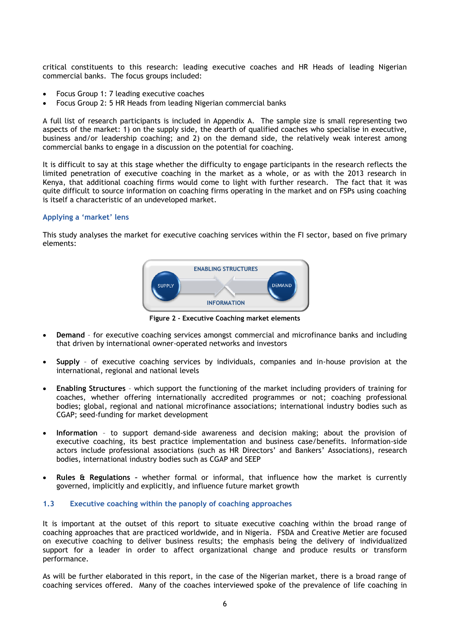critical constituents to this research: leading executive coaches and HR Heads of leading Nigerian commercial banks. The focus groups included:

- Focus Group 1: 7 leading executive coaches
- Focus Group 2: 5 HR Heads from leading Nigerian commercial banks

A full list of research participants is included in Appendix A. The sample size is small representing two aspects of the market: 1) on the supply side, the dearth of qualified coaches who specialise in executive, business and/or leadership coaching; and 2) on the demand side, the relatively weak interest among commercial banks to engage in a discussion on the potential for coaching.

It is difficult to say at this stage whether the difficulty to engage participants in the research reflects the limited penetration of executive coaching in the market as a whole, or as with the 2013 research in Kenya, that additional coaching firms would come to light with further research. The fact that it was quite difficult to source information on coaching firms operating in the market and on FSPs using coaching is itself a characteristic of an undeveloped market.

#### **Applying a 'market' lens**

This study analyses the market for executive coaching services within the FI sector, based on five primary elements:



**Figure 2 - Executive Coaching market elements**

- **Demand**  for executive coaching services amongst commercial and microfinance banks and including that driven by international owner-operated networks and investors
- **Supply** of executive coaching services by individuals, companies and in-house provision at the international, regional and national levels
- **Enabling Structures** which support the functioning of the market including providers of training for coaches, whether offering internationally accredited programmes or not; coaching professional bodies; global, regional and national microfinance associations; international industry bodies such as CGAP; seed-funding for market development
- **Information** to support demand-side awareness and decision making; about the provision of executive coaching, its best practice implementation and business case/benefits. Information-side actors include professional associations (such as HR Directors' and Bankers' Associations), research bodies, international industry bodies such as CGAP and SEEP
- **Rules & Regulations –** whether formal or informal, that influence how the market is currently governed, implicitly and explicitly, and influence future market growth

#### <span id="page-5-0"></span>**1.3 Executive coaching within the panoply of coaching approaches**

It is important at the outset of this report to situate executive coaching within the broad range of coaching approaches that are practiced worldwide, and in Nigeria. FSDA and Creative Metier are focused on executive coaching to deliver business results; the emphasis being the delivery of individualized support for a leader in order to affect organizational change and produce results or transform performance.

As will be further elaborated in this report, in the case of the Nigerian market, there is a broad range of coaching services offered. Many of the coaches interviewed spoke of the prevalence of life coaching in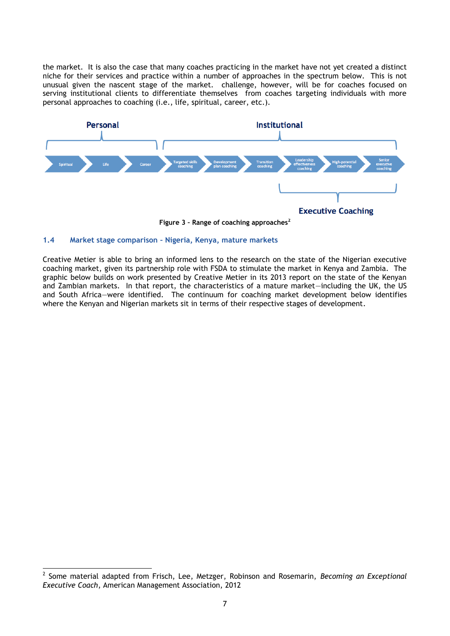the market. It is also the case that many coaches practicing in the market have not yet created a distinct niche for their services and practice within a number of approaches in the spectrum below. This is not unusual given the nascent stage of the market. challenge, however, will be for coaches focused on serving institutional clients to differentiate themselves from coaches targeting individuals with more personal approaches to coaching (i.e., life, spiritual, career, etc.).



**Figure 3 – Range of coaching approaches<sup>2</sup>**

## <span id="page-6-0"></span>**1.4 Market stage comparison – Nigeria, Kenya, mature markets**

1

Creative Metier is able to bring an informed lens to the research on the state of the Nigerian executive coaching market, given its partnership role with FSDA to stimulate the market in Kenya and Zambia. The graphic below builds on work presented by Creative Metier in its 2013 report on the state of the Kenyan and Zambian markets. In that report, the characteristics of a mature market—including the UK, the US and South Africa—were identified. The continuum for coaching market development below identifies where the Kenyan and Nigerian markets sit in terms of their respective stages of development.

<sup>2</sup> Some material adapted from Frisch, Lee, Metzger, Robinson and Rosemarin, *Becoming an Exceptional Executive Coach*, American Management Association, 2012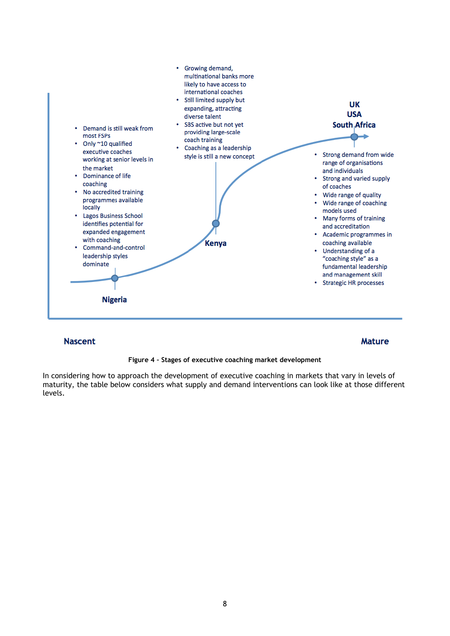![](_page_7_Figure_0.jpeg)

## **Nascent**

#### **Mature**

#### **Figure 4 – Stages of executive coaching market development**

In considering how to approach the development of executive coaching in markets that vary in levels of maturity, the table below considers what supply and demand interventions can look like at those different levels.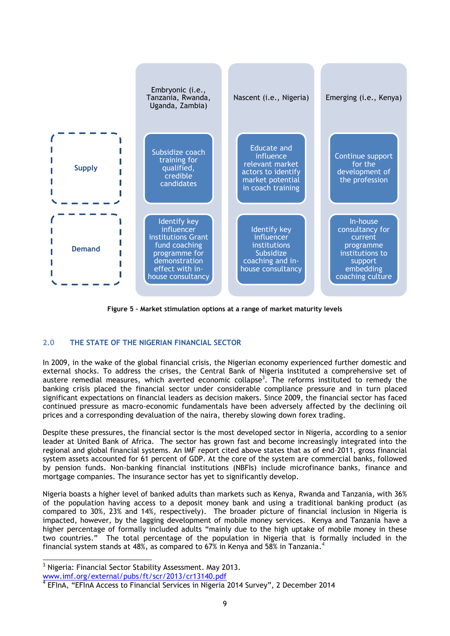![](_page_8_Figure_0.jpeg)

**Figure 5 – Market stimulation options at a range of market maturity levels**

## <span id="page-8-0"></span>**2.0 THE STATE OF THE NIGERIAN FINANCIAL SECTOR**

In 2009, in the wake of the global financial crisis, the Nigerian economy experienced further domestic and external shocks. To address the crises, the Central Bank of Nigeria instituted a comprehensive set of austere remedial measures, which averted economic collapse<sup>3</sup>. The reforms instituted to remedy the banking crisis placed the financial sector under considerable compliance pressure and in turn placed significant expectations on financial leaders as decision makers. Since 2009, the financial sector has faced continued pressure as macro-economic fundamentals have been adversely affected by the declining oil prices and a corresponding devaluation of the naira, thereby slowing down forex trading.

Despite these pressures, the financial sector is the most developed sector in Nigeria, according to a senior leader at United Bank of Africa. The sector has grown fast and become increasingly integrated into the regional and global financial systems. An IMF report cited above states that as of end–2011, gross financial system assets accounted for 61 percent of GDP. At the core of the system are commercial banks, followed by pension funds. Non-banking financial institutions (NBFIs) include microfinance banks, finance and mortgage companies. The insurance sector has yet to significantly develop.

Nigeria boasts a higher level of banked adults than markets such as Kenya, Rwanda and Tanzania, with 36% of the population having access to a deposit money bank and using a traditional banking product (as compared to 30%, 23% and 14%, respectively). The broader picture of financial inclusion in Nigeria is impacted, however, by the lagging development of mobile money services. Kenya and Tanzania have a higher percentage of formally included adults "mainly due to the high uptake of mobile money in these two countries.‖ The total percentage of the population in Nigeria that is formally included in the financial system stands at 48%, as compared to 67% in Kenya and 58% in Tanzania. **4**

 $\overline{a}$ <sup>3</sup> Nigeria: Financial Sector Stability Assessment. May 2013. [www.imf.org/external/pubs/ft/scr/2013/cr13140.pdf](http://www.imf.org/external/pubs/ft/scr/2013/cr13140.pdf)

<sup>&</sup>lt;sup>4</sup> EFInA, "EFInA Access to Financial Services in Nigeria 2014 Survey", 2 December 2014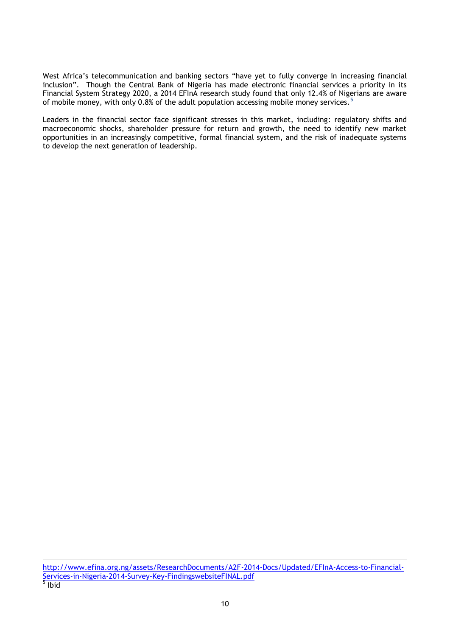West Africa's telecommunication and banking sectors "have yet to fully converge in increasing financial inclusion". Though the Central Bank of Nigeria has made electronic financial services a priority in its Financial System Strategy 2020, a 2014 EFInA research study found that only 12.4% of Nigerians are aware of mobile money, with only 0.8% of the adult population accessing mobile money services.**<sup>5</sup>**

Leaders in the financial sector face significant stresses in this market, including: regulatory shifts and macroeconomic shocks, shareholder pressure for return and growth, the need to identify new market opportunities in an increasingly competitive, formal financial system, and the risk of inadequate systems to develop the next generation of leadership.

 $\overline{a}$ [http://www.efina.org.ng/assets/ResearchDocuments/A2F-2014-Docs/Updated/EFInA-Access-to-Financial-](http://www.efina.org.ng/assets/ResearchDocuments/A2F-2014-Docs/Updated/EFInA-Access-to-Financial-Services-in-Nigeria-2014-Survey-Key-FindingswebsiteFINAL.pdf)[Services-in-Nigeria-2014-Survey-Key-FindingswebsiteFINAL.pdf](http://www.efina.org.ng/assets/ResearchDocuments/A2F-2014-Docs/Updated/EFInA-Access-to-Financial-Services-in-Nigeria-2014-Survey-Key-FindingswebsiteFINAL.pdf)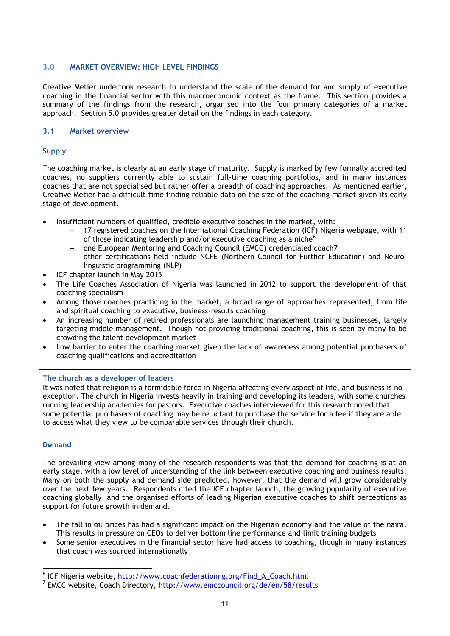## <span id="page-10-0"></span>**3.0 MARKET OVERVIEW: HIGH LEVEL FINDINGS**

Creative Metier undertook research to understand the scale of the demand for and supply of executive coaching in the financial sector with this macroeconomic context as the frame. This section provides a summary of the findings from the research, organised into the four primary categories of a market approach. Section 5.0 provides greater detail on the findings in each category.

## <span id="page-10-1"></span>**3.1 Market overview**

## **Supply**

The coaching market is clearly at an early stage of maturity. Supply is marked by few formally accredited coaches, no suppliers currently able to sustain full-time coaching portfolios, and in many instances coaches that are not specialised but rather offer a breadth of coaching approaches. As mentioned earlier, Creative Metier had a difficult time finding reliable data on the size of the coaching market given its early stage of development.

- Insufficient numbers of qualified, credible executive coaches in the market, with:
	- 17 registered coaches on the International Coaching Federation (ICF) Nigeria webpage, with 11 of those indicating leadership and/or executive coaching as a niche $<sup>6</sup>$ </sup>
	- one European Mentoring and Coaching Council (EMCC) credentialed coach7
	- other certifications held include NCFE (Northern Council for Further Education) and Neurolinguistic programming (NLP)
- ICF chapter launch in May 2015
- The Life Coaches Association of Nigeria was launched in 2012 to support the development of that coaching specialism
- Among those coaches practicing in the market, a broad range of approaches represented, from life and spiritual coaching to executive, business-results coaching
- An increasing number of retired professionals are launching management training businesses, largely targeting middle management. Though not providing traditional coaching, this is seen by many to be crowding the talent development market
- Low barrier to enter the coaching market given the lack of awareness among potential purchasers of coaching qualifications and accreditation

## **The church as a developer of leaders**

 It was noted that religion is a formidable force in Nigeria affecting every aspect of life, and business is no exception. The church in Nigeria invests heavily in training and developing its leaders, with some churches running leadership academies for pastors. Executive coaches interviewed for this research noted that some potential purchasers of coaching may be reluctant to purchase the service for a fee if they are able to access what they view to be comparable services through their church.

## **Demand**

1

The prevailing view among many of the research respondents was that the demand for coaching is at an early stage, with a low level of understanding of the link between executive coaching and business results. Many on both the supply and demand side predicted, however, that the demand will grow considerably over the next few years. Respondents cited the ICF chapter launch, the growing popularity of executive coaching globally, and the organised efforts of leading Nigerian executive coaches to shift perceptions as support for future growth in demand.

- The fall in oil prices has had a significant impact on the Nigerian economy and the value of the naira. This results in pressure on CEOs to deliver bottom line performance and limit training budgets
- Some senior executives in the financial sector have had access to coaching, though in many instances that coach was sourced internationally

<sup>&</sup>lt;sup>6</sup> ICF Nigeria website, [http://www.coachfederationng.org/Find\\_A\\_Coach.html](http://www.coachfederationng.org/Find_A_Coach.html)

<sup>&</sup>lt;sup>7</sup> EMCC website, Coach Directory,<http://www.emccouncil.org/de/en/58/results>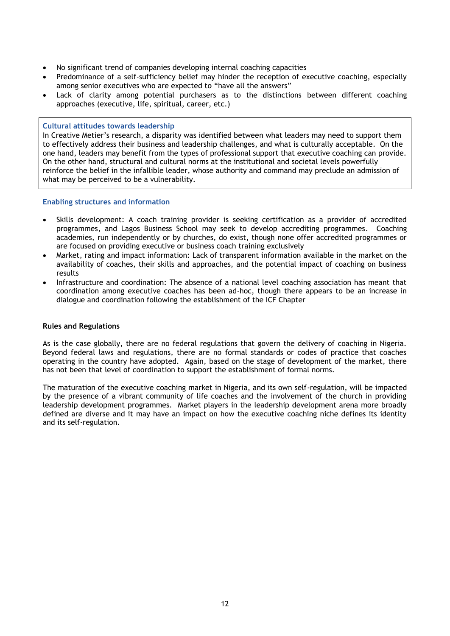- No significant trend of companies developing internal coaching capacities
- Predominance of a self-sufficiency belief may hinder the reception of executive coaching, especially among senior executives who are expected to "have all the answers"
- Lack of clarity among potential purchasers as to the distinctions between different coaching approaches (executive, life, spiritual, career, etc.)

#### **Cultural attitudes towards leadership**

 In Creative Metier's research, a disparity was identified between what leaders may need to support them to effectively address their business and leadership challenges, and what is culturally acceptable. On the one hand, leaders may benefit from the types of professional support that executive coaching can provide. On the other hand, structural and cultural norms at the institutional and societal levels powerfully reinforce the belief in the infallible leader, whose authority and command may preclude an admission of what may be perceived to be a vulnerability.

#### **Enabling structures and information**

- Skills development: A coach training provider is seeking certification as a provider of accredited programmes, and Lagos Business School may seek to develop accrediting programmes. Coaching academies, run independently or by churches, do exist, though none offer accredited programmes or are focused on providing executive or business coach training exclusively
- Market, rating and impact information: Lack of transparent information available in the market on the availability of coaches, their skills and approaches, and the potential impact of coaching on business results
- Infrastructure and coordination: The absence of a national level coaching association has meant that coordination among executive coaches has been ad-hoc, though there appears to be an increase in dialogue and coordination following the establishment of the ICF Chapter

## **Rules and Regulations**

As is the case globally, there are no federal regulations that govern the delivery of coaching in Nigeria. Beyond federal laws and regulations, there are no formal standards or codes of practice that coaches operating in the country have adopted. Again, based on the stage of development of the market, there has not been that level of coordination to support the establishment of formal norms.

The maturation of the executive coaching market in Nigeria, and its own self-regulation, will be impacted by the presence of a vibrant community of life coaches and the involvement of the church in providing leadership development programmes. Market players in the leadership development arena more broadly defined are diverse and it may have an impact on how the executive coaching niche defines its identity and its self-regulation.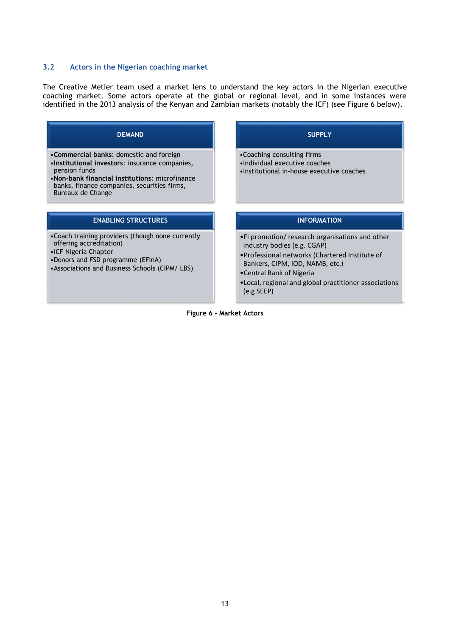#### <span id="page-12-0"></span>**3.2 Actors in the Nigerian coaching market**

The Creative Metier team used a market lens to understand the key actors in the Nigerian executive coaching market. Some actors operate at the global or regional level, and in some instances were identified in the 2013 analysis of the Kenyan and Zambian markets (notably the ICF) (see Figure 6 below).

![](_page_12_Figure_2.jpeg)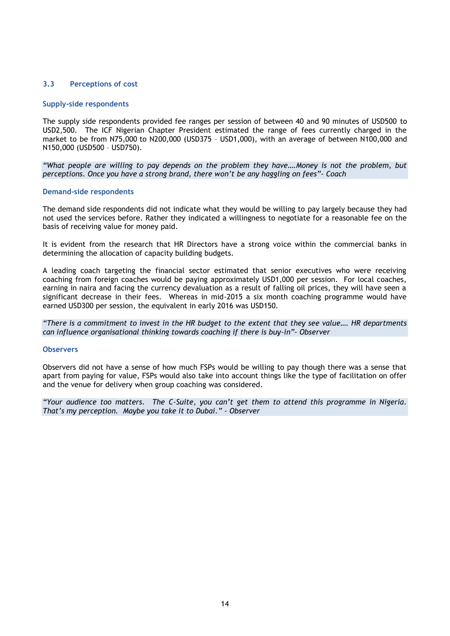## <span id="page-13-0"></span>**3.3 Perceptions of cost**

#### **Supply-side respondents**

The supply side respondents provided fee ranges per session of between 40 and 90 minutes of USD500 to USD2,500. The ICF Nigerian Chapter President estimated the range of fees currently charged in the market to be from N75,000 to N200,000 (USD375 – USD1,000), with an average of between N100,000 and N150,000 (USD500 – USD750).

*"What people are willing to pay depends on the problem they have….Money is not the problem, but perceptions. Once you have a strong brand, there won"t be any haggling on fees"- Coach*

#### **Demand-side respondents**

The demand side respondents did not indicate what they would be willing to pay largely because they had not used the services before. Rather they indicated a willingness to negotiate for a reasonable fee on the basis of receiving value for money paid.

It is evident from the research that HR Directors have a strong voice within the commercial banks in determining the allocation of capacity building budgets.

A leading coach targeting the financial sector estimated that senior executives who were receiving coaching from foreign coaches would be paying approximately USD1,000 per session. For local coaches, earning in naira and facing the currency devaluation as a result of falling oil prices, they will have seen a significant decrease in their fees. Whereas in mid-2015 a six month coaching programme would have earned USD300 per session, the equivalent in early 2016 was USD150.

*"There is a commitment to invest in the HR budget to the extent that they see value…. HR departments can influence organisational thinking towards coaching if there is buy-in"- Observer*

#### **Observers**

Observers did not have a sense of how much FSPs would be willing to pay though there was a sense that apart from paying for value, FSPs would also take into account things like the type of facilitation on offer and the venue for delivery when group coaching was considered.

*"Your audience too matters. The C-Suite, you can"t get them to attend this programme in Nigeria. That"s my perception. Maybe you take it to Dubai." - Observer*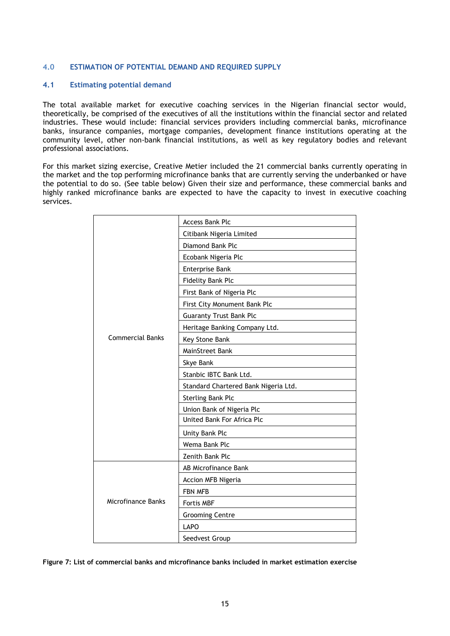## <span id="page-14-0"></span>**4.0 ESTIMATION OF POTENTIAL DEMAND AND REQUIRED SUPPLY**

#### <span id="page-14-1"></span>**4.1 Estimating potential demand**

The total available market for executive coaching services in the Nigerian financial sector would, theoretically, be comprised of the executives of all the institutions within the financial sector and related industries. These would include: financial services providers including commercial banks, microfinance banks, insurance companies, mortgage companies, development finance institutions operating at the community level, other non-bank financial institutions, as well as key regulatory bodies and relevant professional associations.

For this market sizing exercise, Creative Metier included the 21 commercial banks currently operating in the market and the top performing microfinance banks that are currently serving the underbanked or have the potential to do so. (See table below) Given their size and performance, these commercial banks and highly ranked microfinance banks are expected to have the capacity to invest in executive coaching services.

|                         | <b>Access Bank Plc</b>               |  |  |  |
|-------------------------|--------------------------------------|--|--|--|
|                         | Citibank Nigeria Limited             |  |  |  |
|                         | Diamond Bank Plc                     |  |  |  |
|                         | Ecobank Nigeria Plc                  |  |  |  |
|                         | <b>Enterprise Bank</b>               |  |  |  |
|                         | Fidelity Bank Plc                    |  |  |  |
|                         | First Bank of Nigeria Plc            |  |  |  |
|                         | First City Monument Bank Plc         |  |  |  |
|                         | <b>Guaranty Trust Bank Plc</b>       |  |  |  |
|                         | Heritage Banking Company Ltd.        |  |  |  |
| <b>Commercial Banks</b> | Key Stone Bank                       |  |  |  |
|                         | MainStreet Bank                      |  |  |  |
|                         | Skye Bank                            |  |  |  |
|                         | Stanbic IBTC Bank Ltd.               |  |  |  |
|                         | Standard Chartered Bank Nigeria Ltd. |  |  |  |
|                         | <b>Sterling Bank Plc</b>             |  |  |  |
|                         | Union Bank of Nigeria Plc            |  |  |  |
|                         | United Bank For Africa Plc           |  |  |  |
|                         | Unity Bank Plc                       |  |  |  |
|                         | Wema Bank Plc                        |  |  |  |
|                         | Zenith Bank Plc                      |  |  |  |
|                         | AB Microfinance Bank                 |  |  |  |
|                         | Accion MFB Nigeria                   |  |  |  |
|                         | FBN MFB                              |  |  |  |
| Microfinance Banks      | Fortis MBF                           |  |  |  |
|                         | <b>Grooming Centre</b>               |  |  |  |
|                         | <b>LAPO</b>                          |  |  |  |
|                         | Seedvest Group                       |  |  |  |

**Figure 7: List of commercial banks and microfinance banks included in market estimation exercise**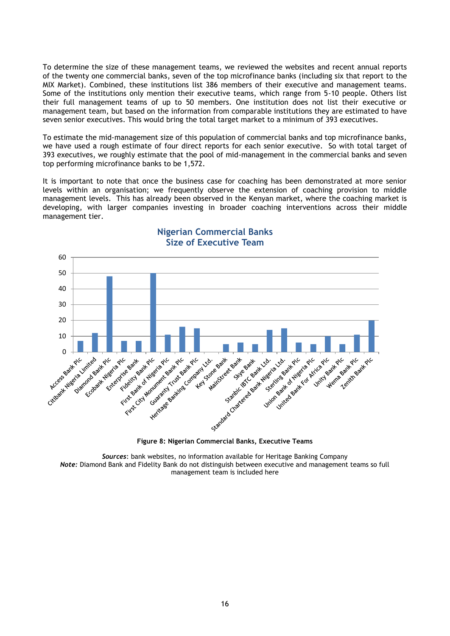To determine the size of these management teams, we reviewed the websites and recent annual reports of the twenty one commercial banks, seven of the top microfinance banks (including six that report to the MIX Market). Combined, these institutions list 386 members of their executive and management teams. Some of the institutions only mention their executive teams, which range from 5-10 people. Others list their full management teams of up to 50 members. One institution does not list their executive or management team, but based on the information from comparable institutions they are estimated to have seven senior executives. This would bring the total target market to a minimum of 393 executives.

To estimate the mid-management size of this population of commercial banks and top microfinance banks, we have used a rough estimate of four direct reports for each senior executive. So with total target of 393 executives, we roughly estimate that the pool of mid-management in the commercial banks and seven top performing microfinance banks to be 1,572.

It is important to note that once the business case for coaching has been demonstrated at more senior levels within an organisation; we frequently observe the extension of coaching provision to middle management levels. This has already been observed in the Kenyan market, where the coaching market is developing, with larger companies investing in broader coaching interventions across their middle management tier.

![](_page_15_Figure_3.jpeg)

# **Nigerian Commercial Banks Size of Executive Team**

*Sources*: bank websites, no information available for Heritage Banking Company *Note:* Diamond Bank and Fidelity Bank do not distinguish between executive and management teams so full management team is included here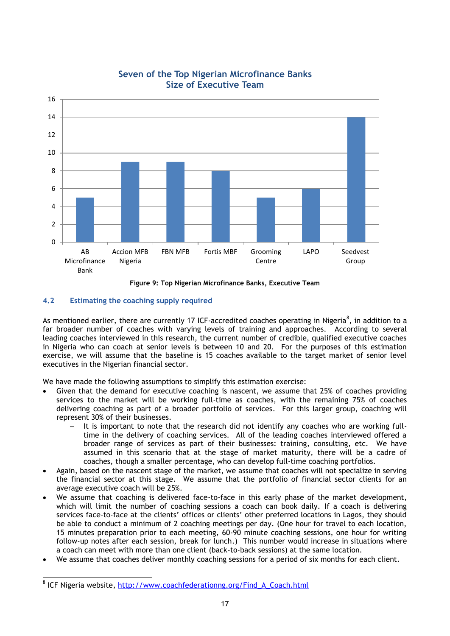![](_page_16_Figure_0.jpeg)

# **Seven of the Top Nigerian Microfinance Banks Size of Executive Team**

**Figure 9: Top Nigerian Microfinance Banks, Executive Team**

## <span id="page-16-0"></span>**4.2 Estimating the coaching supply required**

As mentioned earlier, there are currently 17 ICF-accredited coaches operating in Nigeria<sup>8</sup>, in addition to a far broader number of coaches with varying levels of training and approaches. According to several leading coaches interviewed in this research, the current number of credible, qualified executive coaches in Nigeria who can coach at senior levels is between 10 and 20. For the purposes of this estimation exercise, we will assume that the baseline is 15 coaches available to the target market of senior level executives in the Nigerian financial sector.

We have made the following assumptions to simplify this estimation exercise:

- Given that the demand for executive coaching is nascent, we assume that 25% of coaches providing services to the market will be working full-time as coaches, with the remaining 75% of coaches delivering coaching as part of a broader portfolio of services. For this larger group, coaching will represent 30% of their businesses.
	- It is important to note that the research did not identify any coaches who are working fulltime in the delivery of coaching services. All of the leading coaches interviewed offered a broader range of services as part of their businesses: training, consulting, etc. We have assumed in this scenario that at the stage of market maturity, there will be a cadre of coaches, though a smaller percentage, who can develop full-time coaching portfolios.
- Again, based on the nascent stage of the market, we assume that coaches will not specialize in serving the financial sector at this stage. We assume that the portfolio of financial sector clients for an average executive coach will be 25%.
- We assume that coaching is delivered face-to-face in this early phase of the market development, which will limit the number of coaching sessions a coach can book daily. If a coach is delivering services face-to-face at the clients' offices or clients' other preferred locations in Lagos, they should be able to conduct a minimum of 2 coaching meetings per day. (One hour for travel to each location, 15 minutes preparation prior to each meeting, 60-90 minute coaching sessions, one hour for writing follow-up notes after each session, break for lunch.) This number would increase in situations where a coach can meet with more than one client (back-to-back sessions) at the same location.
- We assume that coaches deliver monthly coaching sessions for a period of six months for each client.

1

<sup>&</sup>lt;sup>8</sup> ICF Nigeria website, [http://www.coachfederationng.org/Find\\_A\\_Coach.html](http://www.coachfederationng.org/Find_A_Coach.html)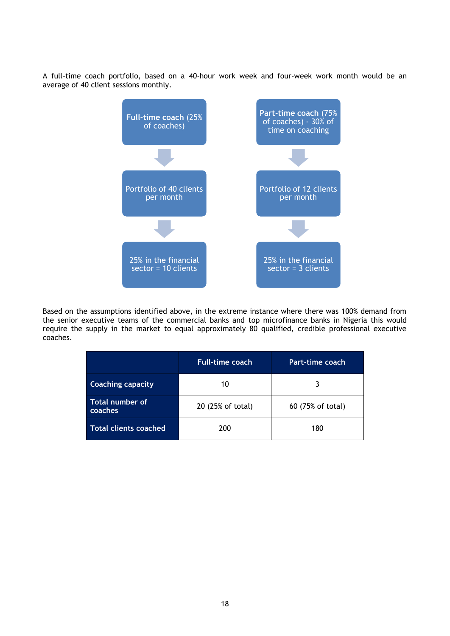A full-time coach portfolio, based on a 40-hour work week and four-week work month would be an average of 40 client sessions monthly.

![](_page_17_Figure_1.jpeg)

Based on the assumptions identified above, in the extreme instance where there was 100% demand from the senior executive teams of the commercial banks and top microfinance banks in Nigeria this would require the supply in the market to equal approximately 80 qualified, credible professional executive coaches.

|                              | <b>Full-time coach</b> | Part-time coach   |
|------------------------------|------------------------|-------------------|
| <b>Coaching capacity</b>     | 10                     | 3                 |
| Total number of<br>coaches   | 20 (25% of total)      | 60 (75% of total) |
| <b>Total clients coached</b> | 200                    | 180               |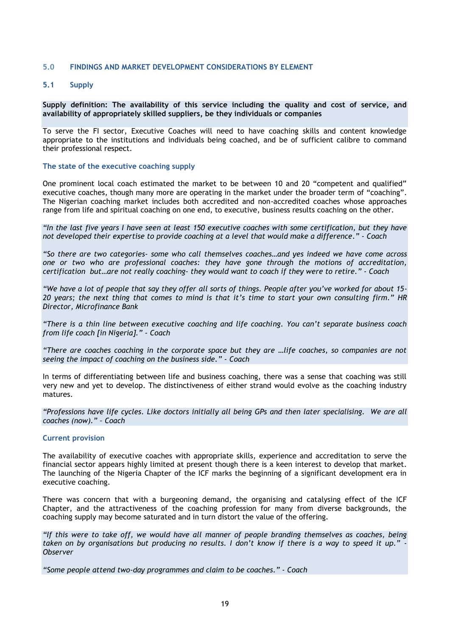#### <span id="page-18-0"></span>**5.0 FINDINGS AND MARKET DEVELOPMENT CONSIDERATIONS BY ELEMENT**

#### <span id="page-18-1"></span>**5.1 Supply**

**Supply definition: The availability of this service including the quality and cost of service, and availability of appropriately skilled suppliers, be they individuals or companies**

To serve the FI sector, Executive Coaches will need to have coaching skills and content knowledge appropriate to the institutions and individuals being coached, and be of sufficient calibre to command their professional respect.

#### **The state of the executive coaching supply**

One prominent local coach estimated the market to be between 10 and 20 "competent and qualified" executive coaches, though many more are operating in the market under the broader term of "coaching". The Nigerian coaching market includes both accredited and non-accredited coaches whose approaches range from life and spiritual coaching on one end, to executive, business results coaching on the other.

*"In the last five years I have seen at least 150 executive coaches with some certification, but they have not developed their expertise to provide coaching at a level that would make a difference." - Coach*

*"So there are two categories- some who call themselves coaches…and yes indeed we have come across one or two who are professional coaches: they have gone through the motions of accreditation, certification but…are not really coaching- they would want to coach if they were to retire." - Coach*

*"We have a lot of people that say they offer all sorts of things. People after you"ve worked for about 15- 20 years; the next thing that comes to mind is that it"s time to start your own consulting firm." HR Director, Microfinance Bank*

*"There is a thin line between executive coaching and life coaching. You can"t separate business coach from life coach [in Nigeria]." - Coach*

*"There are coaches coaching in the corporate space but they are …life coaches, so companies are not seeing the impact of coaching on the business side." - Coach*

In terms of differentiating between life and business coaching, there was a sense that coaching was still very new and yet to develop. The distinctiveness of either strand would evolve as the coaching industry matures.

*"Professions have life cycles. Like doctors initially all being GPs and then later specialising. We are all coaches (now)." – Coach* 

#### **Current provision**

The availability of executive coaches with appropriate skills, experience and accreditation to serve the financial sector appears highly limited at present though there is a keen interest to develop that market. The launching of the Nigeria Chapter of the ICF marks the beginning of a significant development era in executive coaching.

There was concern that with a burgeoning demand, the organising and catalysing effect of the ICF Chapter, and the attractiveness of the coaching profession for many from diverse backgrounds, the coaching supply may become saturated and in turn distort the value of the offering.

*"If this were to take off, we would have all manner of people branding themselves as coaches, being taken on by organisations but producing no results. I don"t know if there is a way to speed it up." - Observer*

*"Some people attend two-day programmes and claim to be coaches." - Coach*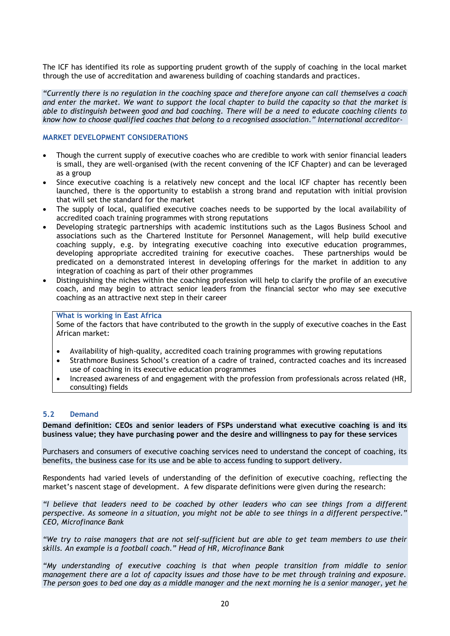The ICF has identified its role as supporting prudent growth of the supply of coaching in the local market through the use of accreditation and awareness building of coaching standards and practices.

*"Currently there is no regulation in the coaching space and therefore anyone can call themselves a coach and enter the market. We want to support the local chapter to build the capacity so that the market is able to distinguish between good and bad coaching. There will be a need to educate coaching clients to know how to choose qualified coaches that belong to a recognised association." International accreditor-*

## **MARKET DEVELOPMENT CONSIDERATIONS**

- Though the current supply of executive coaches who are credible to work with senior financial leaders is small, they are well-organised (with the recent convening of the ICF Chapter) and can be leveraged as a group
- Since executive coaching is a relatively new concept and the local ICF chapter has recently been launched, there is the opportunity to establish a strong brand and reputation with initial provision that will set the standard for the market
- The supply of local, qualified executive coaches needs to be supported by the local availability of accredited coach training programmes with strong reputations
- Developing strategic partnerships with academic institutions such as the Lagos Business School and associations such as the Chartered Institute for Personnel Management, will help build executive coaching supply, e.g. by integrating executive coaching into executive education programmes, developing appropriate accredited training for executive coaches. These partnerships would be predicated on a demonstrated interest in developing offerings for the market in addition to any integration of coaching as part of their other programmes
- Distinguishing the niches within the coaching profession will help to clarify the profile of an executive coach, and may begin to attract senior leaders from the financial sector who may see executive coaching as an attractive next step in their career

#### **What is working in East Africa**

Some of the factors that have contributed to the growth in the supply of executive coaches in the East African market:

- Availability of high-quality, accredited coach training programmes with growing reputations
- Strathmore Business School's creation of a cadre of trained, contracted coaches and its increased use of coaching in its executive education programmes
- Increased awareness of and engagement with the profession from professionals across related (HR, consulting) fields

#### <span id="page-19-0"></span>**5.2 Demand**

**Demand definition: CEOs and senior leaders of FSPs understand what executive coaching is and its business value; they have purchasing power and the desire and willingness to pay for these services**

Purchasers and consumers of executive coaching services need to understand the concept of coaching, its benefits, the business case for its use and be able to access funding to support delivery.

Respondents had varied levels of understanding of the definition of executive coaching, reflecting the market's nascent stage of development. A few disparate definitions were given during the research:

*"I believe that leaders need to be coached by other leaders who can see things from a different perspective. As someone in a situation, you might not be able to see things in a different perspective." CEO, Microfinance Bank* 

*"We try to raise managers that are not self-sufficient but are able to get team members to use their skills. An example is a football coach." Head of HR, Microfinance Bank*

*"My understanding of executive coaching is that when people transition from middle to senior management there are a lot of capacity issues and those have to be met through training and exposure. The person goes to bed one day as a middle manager and the next morning he is a senior manager, yet he*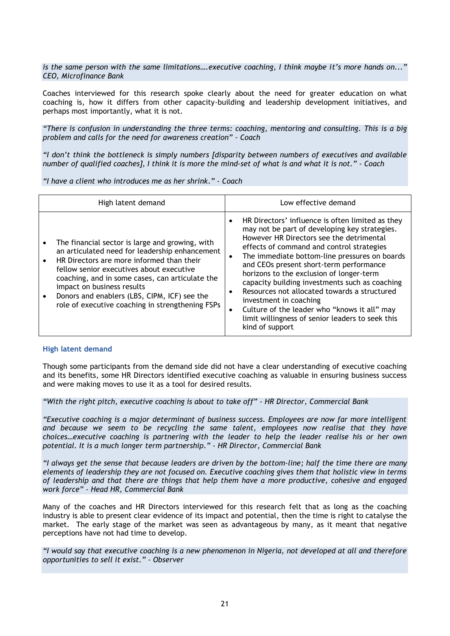*is the same person with the same limitations….executive coaching, I think maybe it"s more hands on..." CEO, Microfinance Bank*

Coaches interviewed for this research spoke clearly about the need for greater education on what coaching is, how it differs from other capacity-building and leadership development initiatives, and perhaps most importantly, what it is not.

*"There is confusion in understanding the three terms: coaching, mentoring and consulting. This is a big problem and calls for the need for awareness creation" - Coach*

*"I don"t think the bottleneck is simply numbers [disparity between numbers of executives and available number of qualified coaches], I think it is more the mind-set of what is and what it is not." - Coach*

*"I have a client who introduces me as her shrink." - Coach*

| High latent demand                                                                                                                                                                                                                                                                                                                                                              | Low effective demand                                                                                                                                                                                                                                                                                                                                                                                                                                                                                                                                                                       |
|---------------------------------------------------------------------------------------------------------------------------------------------------------------------------------------------------------------------------------------------------------------------------------------------------------------------------------------------------------------------------------|--------------------------------------------------------------------------------------------------------------------------------------------------------------------------------------------------------------------------------------------------------------------------------------------------------------------------------------------------------------------------------------------------------------------------------------------------------------------------------------------------------------------------------------------------------------------------------------------|
| The financial sector is large and growing, with<br>an articulated need for leadership enhancement<br>HR Directors are more informed than their<br>fellow senior executives about executive<br>coaching, and in some cases, can articulate the<br>impact on business results<br>Donors and enablers (LBS, CIPM, ICF) see the<br>role of executive coaching in strengthening FSPs | HR Directors' influence is often limited as they<br>may not be part of developing key strategies.<br>However HR Directors see the detrimental<br>effects of command and control strategies<br>The immediate bottom-line pressures on boards<br>and CEOs present short-term performance<br>horizons to the exclusion of longer-term<br>capacity building investments such as coaching<br>Resources not allocated towards a structured<br>investment in coaching<br>Culture of the leader who "knows it all" may<br>٠<br>limit willingness of senior leaders to seek this<br>kind of support |

#### **High latent demand**

Though some participants from the demand side did not have a clear understanding of executive coaching and its benefits, some HR Directors identified executive coaching as valuable in ensuring business success and were making moves to use it as a tool for desired results.

*"With the right pitch, executive coaching is about to take off" - HR Director, Commercial Bank*

*"Executive coaching is a major determinant of business success. Employees are now far more intelligent and because we seem to be recycling the same talent, employees now realise that they have choices…executive coaching is partnering with the leader to help the leader realise his or her own potential. It is a much longer term partnership." - HR Director, Commercial Bank*

*"I always get the sense that because leaders are driven by the bottom-line; half the time there are many elements of leadership they are not focused on. Executive coaching gives them that holistic view in terms of leadership and that there are things that help them have a more productive, cohesive and engaged work force" - Head HR, Commercial Bank*

Many of the coaches and HR Directors interviewed for this research felt that as long as the coaching industry is able to present clear evidence of its impact and potential, then the time is right to catalyse the market. The early stage of the market was seen as advantageous by many, as it meant that negative perceptions have not had time to develop.

*"I would say that executive coaching is a new phenomenon in Nigeria, not developed at all and therefore opportunities to sell it exist." - Observer*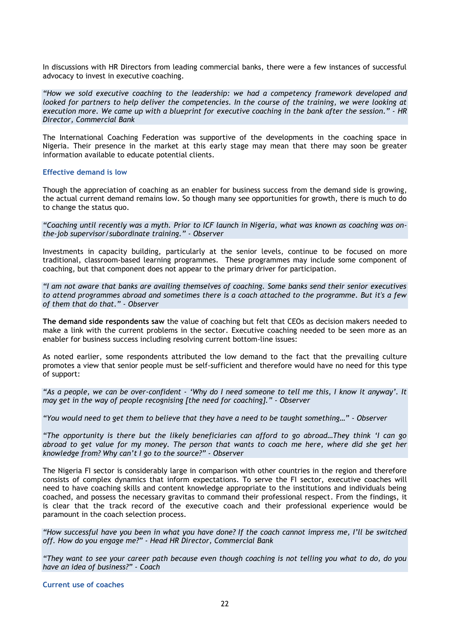In discussions with HR Directors from leading commercial banks, there were a few instances of successful advocacy to invest in executive coaching.

*"How we sold executive coaching to the leadership: we had a competency framework developed and looked for partners to help deliver the competencies. In the course of the training, we were looking at execution more. We came up with a blueprint for executive coaching in the bank after the session." - HR Director, Commercial Bank*

The International Coaching Federation was supportive of the developments in the coaching space in Nigeria. Their presence in the market at this early stage may mean that there may soon be greater information available to educate potential clients.

#### **Effective demand is low**

Though the appreciation of coaching as an enabler for business success from the demand side is growing, the actual current demand remains low. So though many see opportunities for growth, there is much to do to change the status quo.

*"Coaching until recently was a myth. Prior to ICF launch in Nigeria, what was known as coaching was onthe-job supervisor/subordinate training." - Observer*

Investments in capacity building, particularly at the senior levels, continue to be focused on more traditional, classroom-based learning programmes. These programmes may include some component of coaching, but that component does not appear to the primary driver for participation.

*"I am not aware that banks are availing themselves of coaching. Some banks send their senior executives to attend programmes abroad and sometimes there is a coach attached to the programme. But it's a few of them that do that." - Observer*

**The demand side respondents saw** the value of coaching but felt that CEOs as decision makers needed to make a link with the current problems in the sector. Executive coaching needed to be seen more as an enabler for business success including resolving current bottom-line issues:

As noted earlier, some respondents attributed the low demand to the fact that the prevailing culture promotes a view that senior people must be self-sufficient and therefore would have no need for this type of support:

*"As a people, we can be over-confident - "Why do I need someone to tell me this, I know it anyway". It may get in the way of people recognising [the need for coaching]." - Observer*

*"You would need to get them to believe that they have a need to be taught something…" - Observer*

*"The opportunity is there but the likely beneficiaries can afford to go abroad…They think "I can go abroad to get value for my money. The person that wants to coach me here, where did she get her knowledge from? Why can"t I go to the source?" - Observer*

The Nigeria FI sector is considerably large in comparison with other countries in the region and therefore consists of complex dynamics that inform expectations. To serve the FI sector, executive coaches will need to have coaching skills and content knowledge appropriate to the institutions and individuals being coached, and possess the necessary gravitas to command their professional respect. From the findings, it is clear that the track record of the executive coach and their professional experience would be paramount in the coach selection process.

*"How successful have you been in what you have done? If the coach cannot impress me, I"ll be switched off. How do you engage me?" - Head HR Director, Commercial Bank*

*"They want to see your career path because even though coaching is not telling you what to do, do you have an idea of business?" - Coach*

**Current use of coaches**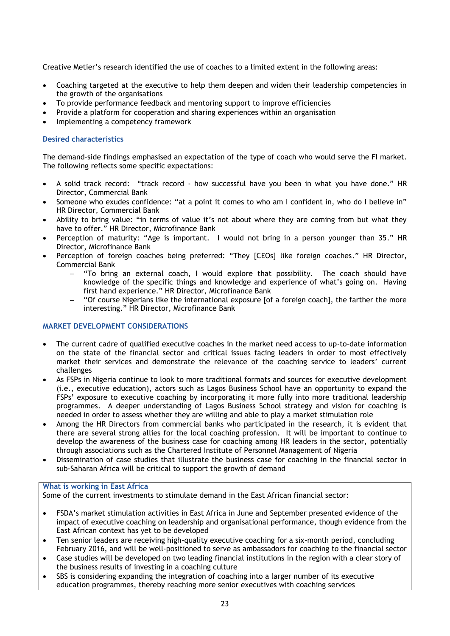Creative Metier's research identified the use of coaches to a limited extent in the following areas:

- Coaching targeted at the executive to help them deepen and widen their leadership competencies in the growth of the organisations
- To provide performance feedback and mentoring support to improve efficiencies
- Provide a platform for cooperation and sharing experiences within an organisation
- Implementing a competency framework

## **Desired characteristics**

The demand-side findings emphasised an expectation of the type of coach who would serve the FI market. The following reflects some specific expectations:

- A solid track record: "track record how successful have you been in what you have done." HR Director, Commercial Bank
- Someone who exudes confidence: "at a point it comes to who am I confident in, who do I believe in" HR Director, Commercial Bank
- Ability to bring value: "in terms of value it's not about where they are coming from but what they have to offer." HR Director, Microfinance Bank
- Perception of maturity: "Age is important. I would not bring in a person younger than 35." HR Director, Microfinance Bank
- Perception of foreign coaches being preferred: "They [CEOs] like foreign coaches." HR Director, Commercial Bank
	- $-$  "To bring an external coach, I would explore that possibility. The coach should have knowledge of the specific things and knowledge and experience of what's going on. Having first hand experience." HR Director, Microfinance Bank
	- "Of course Nigerians like the international exposure [of a foreign coach], the farther the more interesting." HR Director, Microfinance Bank

## **MARKET DEVELOPMENT CONSIDERATIONS**

- The current cadre of qualified executive coaches in the market need access to up-to-date information on the state of the financial sector and critical issues facing leaders in order to most effectively market their services and demonstrate the relevance of the coaching service to leaders' current challenges
- As FSPs in Nigeria continue to look to more traditional formats and sources for executive development (i.e., executive education), actors such as Lagos Business School have an opportunity to expand the FSPs' exposure to executive coaching by incorporating it more fully into more traditional leadership programmes. A deeper understanding of Lagos Business School strategy and vision for coaching is needed in order to assess whether they are willing and able to play a market stimulation role
- Among the HR Directors from commercial banks who participated in the research, it is evident that there are several strong allies for the local coaching profession. It will be important to continue to develop the awareness of the business case for coaching among HR leaders in the sector, potentially through associations such as the Chartered Institute of Personnel Management of Nigeria
- Dissemination of case studies that illustrate the business case for coaching in the financial sector in sub-Saharan Africa will be critical to support the growth of demand

## **What is working in East Africa**

Some of the current investments to stimulate demand in the East African financial sector:

- FSDA's market stimulation activities in East Africa in June and September presented evidence of the impact of executive coaching on leadership and organisational performance, though evidence from the East African context has yet to be developed
- Ten senior leaders are receiving high-quality executive coaching for a six-month period, concluding February 2016, and will be well-positioned to serve as ambassadors for coaching to the financial sector
- Case studies will be developed on two leading financial institutions in the region with a clear story of the business results of investing in a coaching culture
- SBS is considering expanding the integration of coaching into a larger number of its executive education programmes, thereby reaching more senior executives with coaching services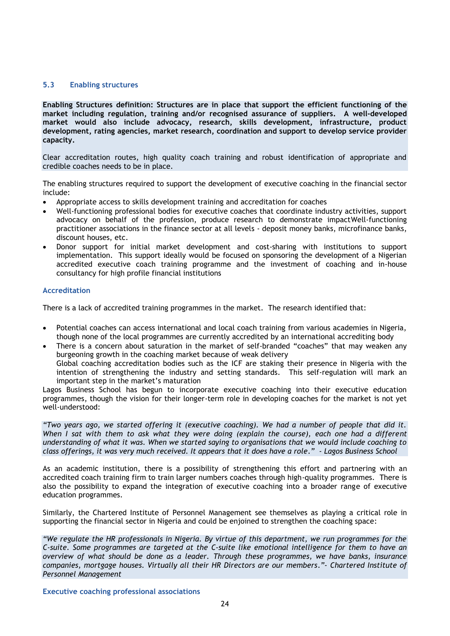## <span id="page-23-0"></span>**5.3 Enabling structures**

**Enabling Structures definition: Structures are in place that support the efficient functioning of the market including regulation, training and/or recognised assurance of suppliers. A well-developed market would also include advocacy, research, skills development, infrastructure, product development, rating agencies, market research, coordination and support to develop service provider capacity.**

Clear accreditation routes, high quality coach training and robust identification of appropriate and credible coaches needs to be in place.

The enabling structures required to support the development of executive coaching in the financial sector include:

- Appropriate access to skills development training and accreditation for coaches
- Well-functioning professional bodies for executive coaches that coordinate industry activities, support advocacy on behalf of the profession, produce research to demonstrate impactWell-functioning practitioner associations in the finance sector at all levels - deposit money banks, microfinance banks, discount houses, etc.
- Donor support for initial market development and cost-sharing with institutions to support implementation. This support ideally would be focused on sponsoring the development of a Nigerian accredited executive coach training programme and the investment of coaching and in-house consultancy for high profile financial institutions

#### **Accreditation**

There is a lack of accredited training programmes in the market. The research identified that:

- Potential coaches can access international and local coach training from various academies in Nigeria, though none of the local programmes are currently accredited by an international accrediting body
- There is a concern about saturation in the market of self-branded "coaches" that may weaken any burgeoning growth in the coaching market because of weak delivery Global coaching accreditation bodies such as the ICF are staking their presence in Nigeria with the

intention of strengthening the industry and setting standards. This self-regulation will mark an important step in the market's maturation

Lagos Business School has begun to incorporate executive coaching into their executive education programmes, though the vision for their longer-term role in developing coaches for the market is not yet well-understood:

*"Two years ago, we started offering it (executive coaching). We had a number of people that did it. When I sat with them to ask what they were doing (explain the course), each one had a different understanding of what it was. When we started saying to organisations that we would include coaching to class offerings, it was very much received. It appears that it does have a role." - Lagos Business School*

As an academic institution, there is a possibility of strengthening this effort and partnering with an accredited coach training firm to train larger numbers coaches through high-quality programmes. There is also the possibility to expand the integration of executive coaching into a broader range of executive education programmes.

Similarly, the Chartered Institute of Personnel Management see themselves as playing a critical role in supporting the financial sector in Nigeria and could be enjoined to strengthen the coaching space:

*"We regulate the HR professionals in Nigeria. By virtue of this department, we run programmes for the C-suite. Some programmes are targeted at the C-suite like emotional intelligence for them to have an overview of what should be done as a leader. Through these programmes, we have banks, insurance companies, mortgage houses. Virtually all their HR Directors are our members."- Chartered Institute of Personnel Management*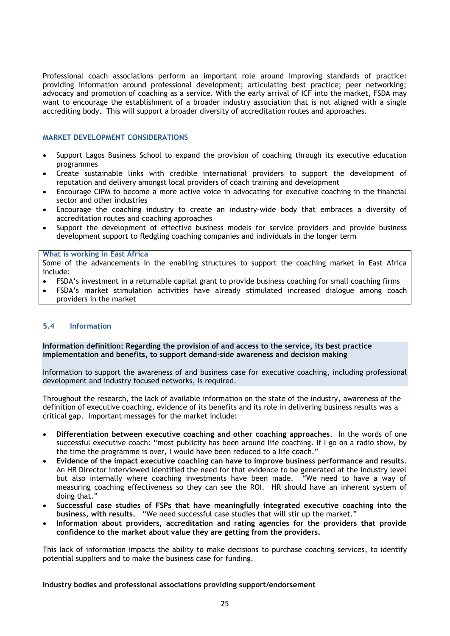Professional coach associations perform an important role around improving standards of practice: providing information around professional development; articulating best practice; peer networking; advocacy and promotion of coaching as a service. With the early arrival of ICF into the market, FSDA may want to encourage the establishment of a broader industry association that is not aligned with a single accrediting body. This will support a broader diversity of accreditation routes and approaches.

## **MARKET DEVELOPMENT CONSIDERATIONS**

- Support Lagos Business School to expand the provision of coaching through its executive education programmes
- Create sustainable links with credible international providers to support the development of reputation and delivery amongst local providers of coach training and development
- Encourage CIPM to become a more active voice in advocating for executive coaching in the financial sector and other industries
- Encourage the coaching industry to create an industry-wide body that embraces a diversity of accreditation routes and coaching approaches
- Support the development of effective business models for service providers and provide business development support to fledgling coaching companies and individuals in the longer term

#### **What is working in East Africa**

Some of the advancements in the enabling structures to support the coaching market in East Africa include:

- FSDA's investment in a returnable capital grant to provide business coaching for small coaching firms
- FSDA's market stimulation activities have already stimulated increased dialogue among coach providers in the market

## <span id="page-24-0"></span>**5.4 Information**

## **Information definition: Regarding the provision of and access to the service, its best practice implementation and benefits, to support demand-side awareness and decision making**

Information to support the awareness of and business case for executive coaching, including professional development and industry focused networks, is required.

Throughout the research, the lack of available information on the state of the industry, awareness of the definition of executive coaching, evidence of its benefits and its role in delivering business results was a critical gap. Important messages for the market include:

- **Differentiation between executive coaching and other coaching approaches**. In the words of one successful executive coach: "most publicity has been around life coaching. If I go on a radio show, by the time the programme is over, I would have been reduced to a life coach."
- **Evidence of the impact executive coaching can have to improve business performance and results**. An HR Director interviewed identified the need for that evidence to be generated at the industry level but also internally where coaching investments have been made. 
"We need to have a wav of measuring coaching effectiveness so they can see the ROI. HR should have an inherent system of doing that."
- **Successful case studies of FSPs that have meaningfully integrated executive coaching into the**  business, with results. "We need successful case studies that will stir up the market."
- **Information about providers, accreditation and rating agencies for the providers that provide confidence to the market about value they are getting from the providers.**

This lack of information impacts the ability to make decisions to purchase coaching services, to identify potential suppliers and to make the business case for funding.

#### **Industry bodies and professional associations providing support/endorsement**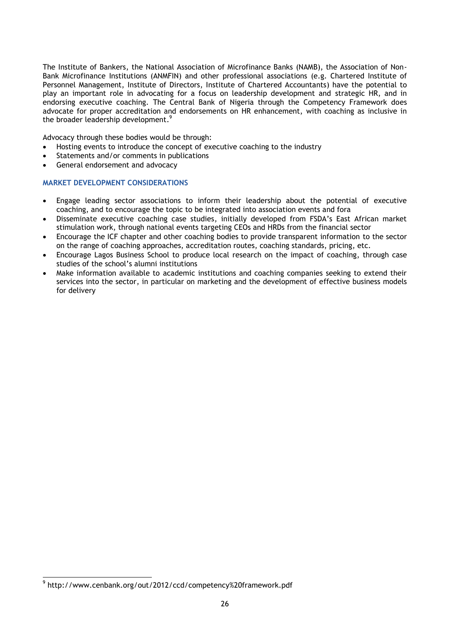The Institute of Bankers, the National Association of Microfinance Banks (NAMB), the Association of Non-Bank Microfinance Institutions (ANMFIN) and other professional associations (e.g. Chartered Institute of Personnel Management, Institute of Directors, Institute of Chartered Accountants) have the potential to play an important role in advocating for a focus on leadership development and strategic HR, and in endorsing executive coaching. The Central Bank of Nigeria through the Competency Framework does advocate for proper accreditation and endorsements on HR enhancement, with coaching as inclusive in the broader leadership development.<sup>9</sup>

Advocacy through these bodies would be through:

- Hosting events to introduce the concept of executive coaching to the industry
- Statements and/or comments in publications
- General endorsement and advocacy

## **MARKET DEVELOPMENT CONSIDERATIONS**

- Engage leading sector associations to inform their leadership about the potential of executive coaching, and to encourage the topic to be integrated into association events and fora
- Disseminate executive coaching case studies, initially developed from FSDA's East African market stimulation work, through national events targeting CEOs and HRDs from the financial sector
- Encourage the ICF chapter and other coaching bodies to provide transparent information to the sector on the range of coaching approaches, accreditation routes, coaching standards, pricing, etc.
- Encourage Lagos Business School to produce local research on the impact of coaching, through case studies of the school's alumni institutions
- Make information available to academic institutions and coaching companies seeking to extend their services into the sector, in particular on marketing and the development of effective business models for delivery

 9 http://www.cenbank.org/out/2012/ccd/competency%20framework.pdf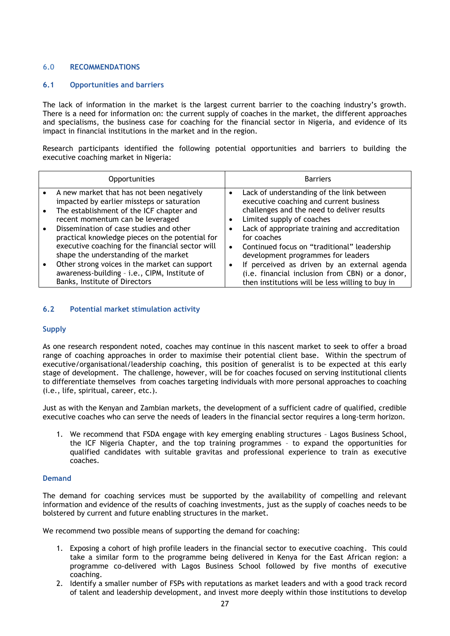## <span id="page-26-0"></span>**6.0 RECOMMENDATIONS**

## <span id="page-26-1"></span>**6.1 Opportunities and barriers**

The lack of information in the market is the largest current barrier to the coaching industry's growth. There is a need for information on: the current supply of coaches in the market, the different approaches and specialisms, the business case for coaching for the financial sector in Nigeria, and evidence of its impact in financial institutions in the market and in the region.

Research participants identified the following potential opportunities and barriers to building the executive coaching market in Nigeria:

| <b>Opportunities</b>                                                                                                                                                                    |           | <b>Barriers</b>                                                                                                                                                 |
|-----------------------------------------------------------------------------------------------------------------------------------------------------------------------------------------|-----------|-----------------------------------------------------------------------------------------------------------------------------------------------------------------|
| A new market that has not been negatively<br>impacted by earlier missteps or saturation<br>The establishment of the ICF chapter and<br>recent momentum can be leveraged                 | ٠<br>٠    | Lack of understanding of the link between<br>executive coaching and current business<br>challenges and the need to deliver results<br>Limited supply of coaches |
| Dissemination of case studies and other<br>practical knowledge pieces on the potential for<br>executive coaching for the financial sector will<br>shape the understanding of the market | $\bullet$ | Lack of appropriate training and accreditation<br>for coaches<br>Continued focus on "traditional" leadership<br>development programmes for leaders              |
| Other strong voices in the market can support<br>awareness-building - i.e., CIPM, Institute of<br>Banks, Institute of Directors                                                         | $\bullet$ | If perceived as driven by an external agenda<br>(i.e. financial inclusion from CBN) or a donor,<br>then institutions will be less willing to buy in             |

## <span id="page-26-2"></span>**6.2 Potential market stimulation activity**

## **Supply**

As one research respondent noted, coaches may continue in this nascent market to seek to offer a broad range of coaching approaches in order to maximise their potential client base. Within the spectrum of executive/organisational/leadership coaching, this position of generalist is to be expected at this early stage of development. The challenge, however, will be for coaches focused on serving institutional clients to differentiate themselves from coaches targeting individuals with more personal approaches to coaching (i.e., life, spiritual, career, etc.).

Just as with the Kenyan and Zambian markets, the development of a sufficient cadre of qualified, credible executive coaches who can serve the needs of leaders in the financial sector requires a long-term horizon.

1. We recommend that FSDA engage with key emerging enabling structures – Lagos Business School, the ICF Nigeria Chapter, and the top training programmes – to expand the opportunities for qualified candidates with suitable gravitas and professional experience to train as executive coaches.

## **Demand**

The demand for coaching services must be supported by the availability of compelling and relevant information and evidence of the results of coaching investments, just as the supply of coaches needs to be bolstered by current and future enabling structures in the market.

We recommend two possible means of supporting the demand for coaching:

- 1. Exposing a cohort of high profile leaders in the financial sector to executive coaching. This could take a similar form to the programme being delivered in Kenya for the East African region: a programme co-delivered with Lagos Business School followed by five months of executive coaching.
- 2. Identify a smaller number of FSPs with reputations as market leaders and with a good track record of talent and leadership development, and invest more deeply within those institutions to develop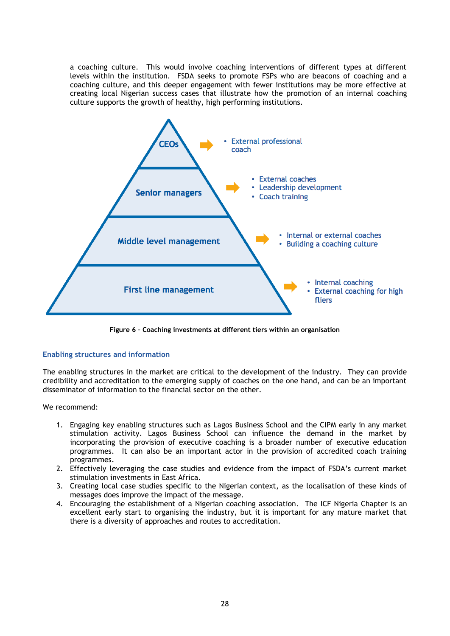a coaching culture. This would involve coaching interventions of different types at different levels within the institution. FSDA seeks to promote FSPs who are beacons of coaching and a coaching culture, and this deeper engagement with fewer institutions may be more effective at creating local Nigerian success cases that illustrate how the promotion of an internal coaching culture supports the growth of healthy, high performing institutions.

![](_page_27_Figure_1.jpeg)

**Figure 6 – Coaching investments at different tiers within an organisation**

## **Enabling structures and information**

The enabling structures in the market are critical to the development of the industry. They can provide credibility and accreditation to the emerging supply of coaches on the one hand, and can be an important disseminator of information to the financial sector on the other.

We recommend:

- 1. Engaging key enabling structures such as Lagos Business School and the CIPM early in any market stimulation activity. Lagos Business School can influence the demand in the market by incorporating the provision of executive coaching is a broader number of executive education programmes. It can also be an important actor in the provision of accredited coach training programmes.
- 2. Effectively leveraging the case studies and evidence from the impact of FSDA's current market stimulation investments in East Africa.
- 3. Creating local case studies specific to the Nigerian context, as the localisation of these kinds of messages does improve the impact of the message.
- 4. Encouraging the establishment of a Nigerian coaching association. The ICF Nigeria Chapter is an excellent early start to organising the industry, but it is important for any mature market that there is a diversity of approaches and routes to accreditation.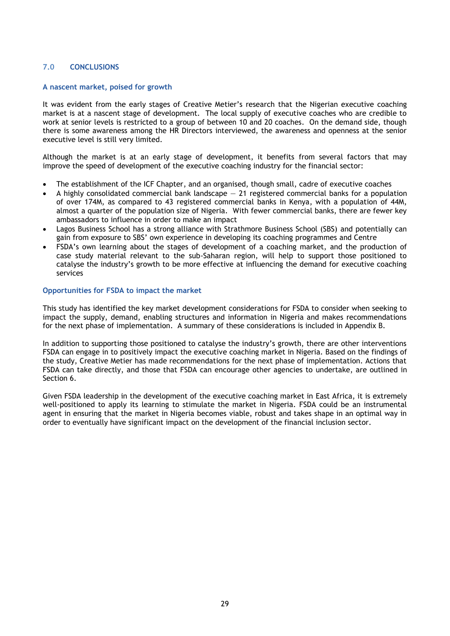## <span id="page-28-0"></span>**7.0 CONCLUSIONS**

#### **A nascent market, poised for growth**

It was evident from the early stages of Creative Metier's research that the Nigerian executive coaching market is at a nascent stage of development. The local supply of executive coaches who are credible to work at senior levels is restricted to a group of between 10 and 20 coaches. On the demand side, though there is some awareness among the HR Directors interviewed, the awareness and openness at the senior executive level is still very limited.

Although the market is at an early stage of development, it benefits from several factors that may improve the speed of development of the executive coaching industry for the financial sector:

- The establishment of the ICF Chapter, and an organised, though small, cadre of executive coaches
- A highly consolidated commercial bank landscape  $-21$  registered commercial banks for a population of over 174M, as compared to 43 registered commercial banks in Kenya, with a population of 44M, almost a quarter of the population size of Nigeria. With fewer commercial banks, there are fewer key ambassadors to influence in order to make an impact
- Lagos Business School has a strong alliance with Strathmore Business School (SBS) and potentially can gain from exposure to SBS' own experience in developing its coaching programmes and Centre
- FSDA's own learning about the stages of development of a coaching market, and the production of case study material relevant to the sub-Saharan region, will help to support those positioned to catalyse the industry's growth to be more effective at influencing the demand for executive coaching services

## **Opportunities for FSDA to impact the market**

This study has identified the key market development considerations for FSDA to consider when seeking to impact the supply, demand, enabling structures and information in Nigeria and makes recommendations for the next phase of implementation. A summary of these considerations is included in Appendix B.

In addition to supporting those positioned to catalyse the industry's growth, there are other interventions FSDA can engage in to positively impact the executive coaching market in Nigeria. Based on the findings of the study, Creative Metier has made recommendations for the next phase of implementation. Actions that FSDA can take directly, and those that FSDA can encourage other agencies to undertake, are outlined in Section 6.

Given FSDA leadership in the development of the executive coaching market in East Africa, it is extremely well-positioned to apply its learning to stimulate the market in Nigeria. FSDA could be an instrumental agent in ensuring that the market in Nigeria becomes viable, robust and takes shape in an optimal way in order to eventually have significant impact on the development of the financial inclusion sector.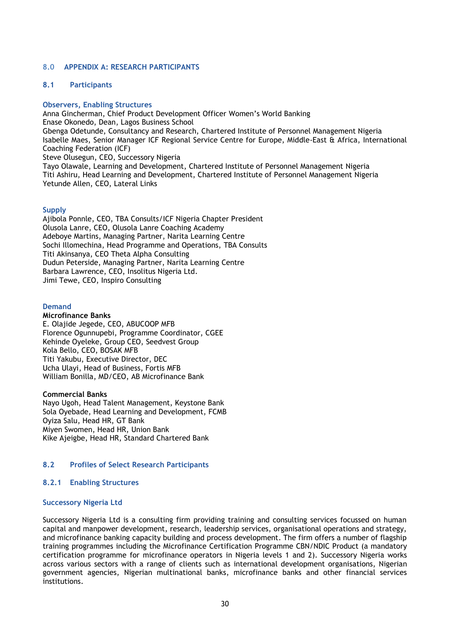## <span id="page-29-0"></span>**8.0 APPENDIX A: RESEARCH PARTICIPANTS**

## <span id="page-29-1"></span>**8.1 Participants**

#### **Observers, Enabling Structures**

Anna Gincherman, Chief Product Development Officer Women's World Banking Enase Okonedo, Dean, Lagos Business School Gbenga Odetunde, Consultancy and Research, Chartered Institute of Personnel Management Nigeria Isabelle Maes, Senior Manager ICF Regional Service Centre for Europe, Middle-East & Africa, International Coaching Federation (ICF) Steve Olusegun, CEO, Successory Nigeria Tayo Olawale, Learning and Development, Chartered Institute of Personnel Management Nigeria Titi Ashiru, Head Learning and Development, Chartered Institute of Personnel Management Nigeria Yetunde Allen, CEO, Lateral Links

#### **Supply**

Ajibola Ponnle, CEO, TBA Consults/ICF Nigeria Chapter President Olusola Lanre, CEO, Olusola Lanre Coaching Academy Adeboye Martins, Managing Partner, Narita Learning Centre Sochi Illomechina, Head Programme and Operations, TBA Consults Titi Akinsanya, CEO Theta Alpha Consulting Dudun Peterside, Managing Partner, Narita Learning Centre Barbara Lawrence, CEO, Insolitus Nigeria Ltd. Jimi Tewe, CEO, Inspiro Consulting

#### **Demand**

#### **Microfinance Banks**

E. Olajide Jegede, CEO, ABUCOOP MFB Florence Ogunnupebi, Programme Coordinator, CGEE Kehinde Oyeleke, Group CEO, Seedvest Group Kola Bello, CEO, BOSAK MFB Titi Yakubu, Executive Director, DEC Ucha Ulayi, Head of Business, Fortis MFB William Bonilla, MD/CEO, AB Microfinance Bank

#### **Commercial Banks**

Nayo Ugoh, Head Talent Management, Keystone Bank Sola Oyebade, Head Learning and Development, FCMB Oyiza Salu, Head HR, GT Bank Miyen Swomen, Head HR, Union Bank Kike Ajeigbe, Head HR, Standard Chartered Bank

#### <span id="page-29-2"></span>**8.2 Profiles of Select Research Participants**

#### <span id="page-29-3"></span>**8.2.1 Enabling Structures**

#### **Successory Nigeria Ltd**

Successory Nigeria Ltd is a consulting firm providing training and consulting services focussed on human capital and manpower development, research, leadership services, organisational operations and strategy, and microfinance banking capacity building and process development. The firm offers a number of flagship training programmes including the Microfinance Certification Programme CBN/NDIC Product (a mandatory certification programme for microfinance operators in Nigeria levels 1 and 2). Successory Nigeria works across various sectors with a range of clients such as international development organisations, Nigerian government agencies, Nigerian multinational banks, microfinance banks and other financial services institutions.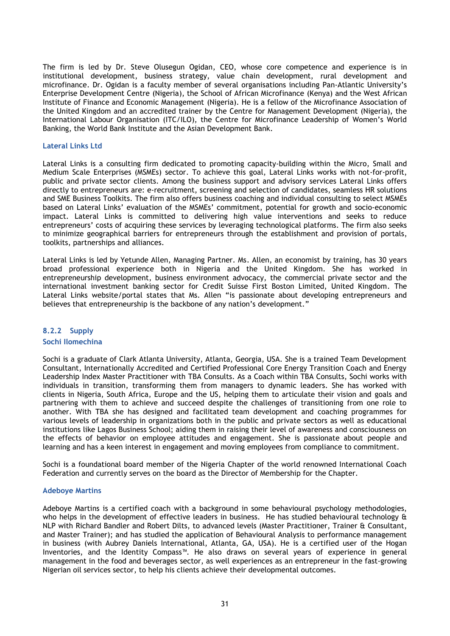The firm is led by Dr. Steve Olusegun Ogidan, CEO, whose core competence and experience is in institutional development, business strategy, value chain development, rural development and microfinance. Dr. Ogidan is a faculty member of several organisations including Pan-Atlantic University's Enterprise Development Centre (Nigeria), the School of African Microfinance (Kenya) and the West African Institute of Finance and Economic Management (Nigeria). He is a fellow of the Microfinance Association of the United Kingdom and an accredited trainer by the Centre for Management Development (Nigeria), the International Labour Organisation (ITC/ILO), the Centre for Microfinance Leadership of Women's World Banking, the World Bank Institute and the Asian Development Bank.

#### **Lateral Links Ltd**

Lateral Links is a consulting firm dedicated to promoting capacity-building within the Micro, Small and Medium Scale Enterprises (MSMEs) sector. To achieve this goal, Lateral Links works with not-for-profit, public and private sector clients. Among the business support and advisory services Lateral Links offers directly to entrepreneurs are: e-recruitment, screening and selection of candidates, seamless HR solutions and SME Business Toolkits. The firm also offers business coaching and individual consulting to select MSMEs based on Lateral Links' evaluation of the MSMEs' commitment, potential for growth and socio-economic impact. Lateral Links is committed to delivering high value interventions and seeks to reduce entrepreneurs' costs of acquiring these services by leveraging technological platforms. The firm also seeks to minimize geographical barriers for entrepreneurs through the establishment and provision of portals, toolkits, partnerships and alliances.

Lateral Links is led by Yetunde Allen, Managing Partner. Ms. Allen, an economist by training, has 30 years broad professional experience both in Nigeria and the United Kingdom. She has worked in entrepreneurship development, business environment advocacy, the commercial private sector and the international investment banking sector for Credit Suisse First Boston Limited, United Kingdom. The Lateral Links website/portal states that Ms. Allen "is passionate about developing entrepreneurs and believes that entrepreneurship is the backbone of any nation's development."

# <span id="page-30-0"></span>**8.2.2 Supply**

#### **Sochi Ilomechina**

Sochi is a graduate of Clark Atlanta University, Atlanta, Georgia, USA. She is a trained Team Development Consultant, Internationally Accredited and Certified Professional Core Energy Transition Coach and Energy Leadership Index Master Practitioner with TBA Consults. As a Coach within TBA Consults, Sochi works with individuals in transition, transforming them from managers to dynamic leaders. She has worked with clients in Nigeria, South Africa, Europe and the US, helping them to articulate their vision and goals and partnering with them to achieve and succeed despite the challenges of transitioning from one role to another. With TBA she has designed and facilitated team development and coaching programmes for various levels of leadership in organizations both in the public and private sectors as well as educational institutions like Lagos Business School; aiding them in raising their level of awareness and consciousness on the effects of behavior on employee attitudes and engagement. She is passionate about people and learning and has a keen interest in engagement and moving employees from compliance to commitment.

Sochi is a foundational board member of the Nigeria Chapter of the world renowned International Coach Federation and currently serves on the board as the Director of Membership for the Chapter.

#### **Adeboye Martins**

Adeboye Martins is a certified coach with a background in some behavioural psychology methodologies, who helps in the development of effective leaders in business. He has studied behavioural technology & NLP with Richard Bandler and Robert Dilts, to advanced levels (Master Practitioner, Trainer & Consultant, and Master Trainer); and has studied the application of Behavioural Analysis to performance management in business (with Aubrey Daniels International, Atlanta, GA, USA). He is a certified user of the Hogan Inventories, and the Identity Compass™. He also draws on several years of experience in general management in the food and beverages sector, as well experiences as an entrepreneur in the fast-growing Nigerian oil services sector, to help his clients achieve their developmental outcomes.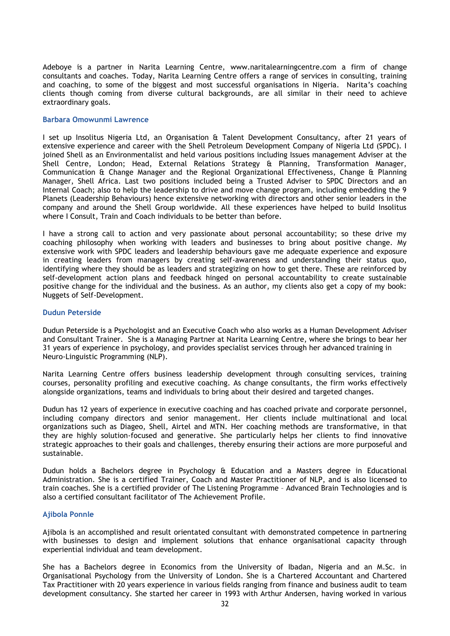Adeboye is a partner in Narita Learning Centre, www.naritalearningcentre.com a firm of change consultants and coaches. Today, Narita Learning Centre offers a range of services in consulting, training and coaching, to some of the biggest and most successful organisations in Nigeria. Narita's coaching clients though coming from diverse cultural backgrounds, are all similar in their need to achieve extraordinary goals.

## **Barbara Omowunmi Lawrence**

I set up Insolitus Nigeria Ltd, an Organisation & Talent Development Consultancy, after 21 years of extensive experience and career with the Shell Petroleum Development Company of Nigeria Ltd (SPDC). I joined Shell as an Environmentalist and held various positions including Issues management Adviser at the Shell Centre, London; Head, External Relations Strategy & Planning, Transformation Manager, Communication & Change Manager and the Regional Organizational Effectiveness, Change & Planning Manager, Shell Africa. Last two positions included being a Trusted Adviser to SPDC Directors and an Internal Coach; also to help the leadership to drive and move change program, including embedding the 9 Planets (Leadership Behaviours) hence extensive networking with directors and other senior leaders in the company and around the Shell Group worldwide. All these experiences have helped to build Insolitus where I Consult, Train and Coach individuals to be better than before.

I have a strong call to action and very passionate about personal accountability; so these drive my coaching philosophy when working with leaders and businesses to bring about positive change. My extensive work with SPDC leaders and leadership behaviours gave me adequate experience and exposure in creating leaders from managers by creating self-awareness and understanding their status quo, identifying where they should be as leaders and strategizing on how to get there. These are reinforced by self-development action plans and feedback hinged on personal accountability to create sustainable positive change for the individual and the business. As an author, my clients also get a copy of my book: Nuggets of Self-Development.

#### **Dudun Peterside**

Dudun Peterside is a Psychologist and an Executive Coach who also works as a Human Development Adviser and Consultant Trainer. She is a Managing Partner at Narita Learning Centre, where she brings to bear her 31 years of experience in psychology, and provides specialist services through her advanced training in Neuro-Linguistic Programming (NLP).

Narita Learning Centre offers business leadership development through consulting services, training courses, personality profiling and executive coaching. As change consultants, the firm works effectively alongside organizations, teams and individuals to bring about their desired and targeted changes.

Dudun has 12 years of experience in executive coaching and has coached private and corporate personnel, including company directors and senior management. Her clients include multinational and local organizations such as Diageo, Shell, Airtel and MTN. Her coaching methods are transformative, in that they are highly solution-focused and generative. She particularly helps her clients to find innovative strategic approaches to their goals and challenges, thereby ensuring their actions are more purposeful and sustainable.

Dudun holds a Bachelors degree in Psychology & Education and a Masters degree in Educational Administration. She is a certified Trainer, Coach and Master Practitioner of NLP, and is also licensed to train coaches. She is a certified provider of The Listening Programme – Advanced Brain Technologies and is also a certified consultant facilitator of The Achievement Profile.

#### **Ajibola Ponnle**

Ajibola is an accomplished and result orientated consultant with demonstrated competence in partnering with businesses to design and implement solutions that enhance organisational capacity through experiential individual and team development.

She has a Bachelors degree in Economics from the University of Ibadan, Nigeria and an M.Sc. in Organisational Psychology from the University of London. She is a Chartered Accountant and Chartered Tax Practitioner with 20 years experience in various fields ranging from finance and business audit to team development consultancy. She started her career in 1993 with Arthur Andersen, having worked in various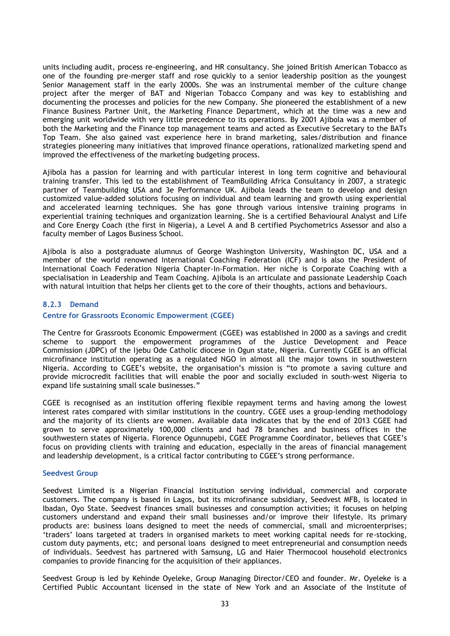units including audit, process re-engineering, and HR consultancy. She joined British American Tobacco as one of the founding pre-merger staff and rose quickly to a senior leadership position as the youngest Senior Management staff in the early 2000s. She was an instrumental member of the culture change project after the merger of BAT and Nigerian Tobacco Company and was key to establishing and documenting the processes and policies for the new Company. She pioneered the establishment of a new Finance Business Partner Unit, the Marketing Finance Department, which at the time was a new and emerging unit worldwide with very little precedence to its operations. By 2001 Ajibola was a member of both the Marketing and the Finance top management teams and acted as Executive Secretary to the BATs Top Team. She also gained vast experience here in brand marketing, sales/distribution and finance strategies pioneering many initiatives that improved finance operations, rationalized marketing spend and improved the effectiveness of the marketing budgeting process.

Ajibola has a passion for learning and with particular interest in long term cognitive and behavioural training transfer. This led to the establishment of TeamBuilding Africa Consultancy in 2007, a strategic partner of Teambuilding USA and 3e Performance UK. Ajibola leads the team to develop and design customized value-added solutions focusing on individual and team learning and growth using experiential and accelerated learning techniques. She has gone through various intensive training programs in experiential training techniques and organization learning. She is a certified Behavioural Analyst and Life and Core Energy Coach (the first in Nigeria), a Level A and B certified Psychometrics Assessor and also a faculty member of Lagos Business School.

Ajibola is also a postgraduate alumnus of George Washington University, Washington DC, USA and a member of the world renowned International Coaching Federation (ICF) and is also the President of International Coach Federation Nigeria Chapter-In-Formation. Her niche is Corporate Coaching with a specialisation in Leadership and Team Coaching. Ajibola is an articulate and passionate Leadership Coach with natural intuition that helps her clients get to the core of their thoughts, actions and behaviours.

## <span id="page-32-0"></span>**8.2.3 Demand**

#### **Centre for Grassroots Economic Empowerment (CGEE)**

The Centre for Grassroots Economic Empowerment (CGEE) was established in 2000 as a savings and credit scheme to support the empowerment programmes of the Justice Development and Peace Commission (JDPC) of the Ijebu Ode Catholic diocese in Ogun state, Nigeria. Currently CGEE is an official microfinance institution operating as a regulated NGO in almost all the major towns in southwestern Nigeria. According to CGEE's website, the organisation's mission is "to promote a saving culture and provide microcredit facilities that will enable the poor and socially excluded in south-west Nigeria to expand life sustaining small scale businesses."

CGEE is recognised as an institution offering flexible repayment terms and having among the lowest interest rates compared with similar institutions in the country. CGEE uses a group-lending methodology and the majority of its clients are women. Available data indicates that by the end of 2013 CGEE had grown to serve approximately 100,000 clients and had 78 branches and business offices in the southwestern states of Nigeria. Florence Ogunnupebi, CGEE Programme Coordinator, believes that CGEE's focus on providing clients with training and education, especially in the areas of financial management and leadership development, is a critical factor contributing to CGEE's strong performance.

#### **Seedvest Group**

Seedvest Limited is a Nigerian Financial Institution serving individual, commercial and corporate customers. The company is based in Lagos, but its microfinance subsidiary, Seedvest MFB, is located in Ibadan, Oyo State. Seedvest finances small businesses and consumption activities; it focuses on helping customers understand and expand their small businesses and/or improve their lifestyle. Its primary products are: business loans designed to meet the needs of commercial, small and microenterprises; ‗traders' loans targeted at traders in organised markets to meet working capital needs for re-stocking, custom duty payments, etc; and personal loans designed to meet entrepreneurial and consumption needs of individuals. Seedvest has partnered with Samsung, LG and Haier Thermocool household electronics companies to provide financing for the acquisition of their appliances.

Seedvest Group is led by Kehinde Oyeleke, Group Managing Director/CEO and founder. Mr. Oyeleke is a Certified Public Accountant licensed in the state of New York and an Associate of the Institute of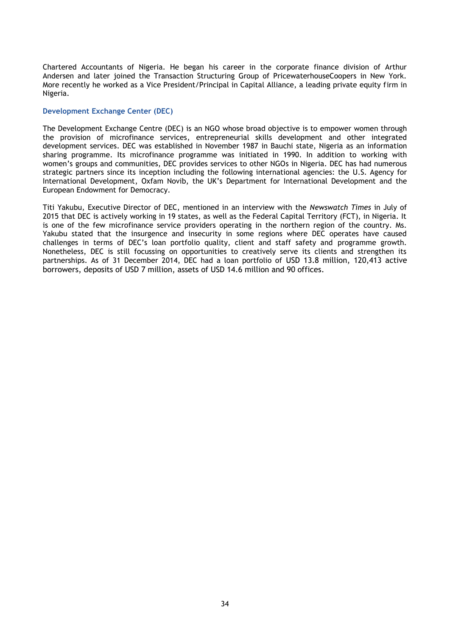Chartered Accountants of Nigeria. He began his career in the corporate finance division of Arthur Andersen and later joined the Transaction Structuring Group of PricewaterhouseCoopers in New York. More recently he worked as a Vice President/Principal in Capital Alliance, a leading private equity firm in Nigeria.

#### **Development Exchange Center (DEC)**

The Development Exchange Centre (DEC) is an NGO whose broad objective is to empower women through the provision of microfinance services, entrepreneurial skills development and other integrated development services. DEC was established in November 1987 in Bauchi state, Nigeria as an information sharing programme. Its microfinance programme was initiated in 1990. In addition to working with women's groups and communities, DEC provides services to other NGOs in Nigeria. DEC has had numerous strategic partners since its inception including the following international agencies: the U.S. Agency for International Development, Oxfam Novib, the UK's Department for International Development and the European Endowment for Democracy.

Titi Yakubu, Executive Director of DEC, mentioned in an interview with the *Newswatch Times* in July of 2015 that DEC is actively working in 19 states, as well as the Federal Capital Territory (FCT), in Nigeria. It is one of the few microfinance service providers operating in the northern region of the country. Ms. Yakubu stated that the insurgence and insecurity in some regions where DEC operates have caused challenges in terms of DEC's loan portfolio quality, client and staff safety and programme growth. Nonetheless, DEC is still focussing on opportunities to creatively serve its clients and strengthen its partnerships. As of 31 December 2014, DEC had a loan portfolio of USD 13.8 million, 120,413 active borrowers, deposits of USD 7 million, assets of USD 14.6 million and 90 offices.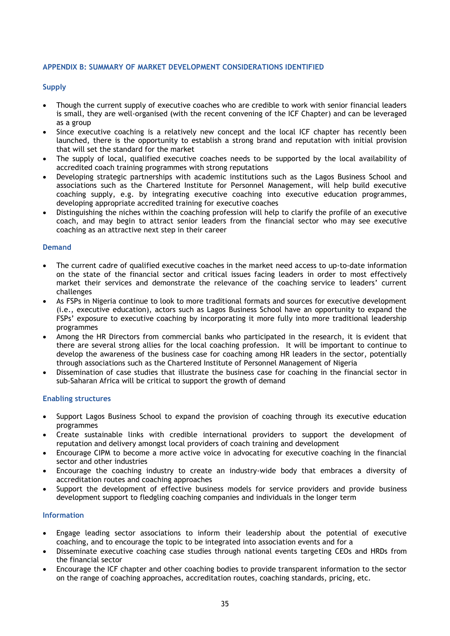## <span id="page-34-0"></span>**APPENDIX B: SUMMARY OF MARKET DEVELOPMENT CONSIDERATIONS IDENTIFIED**

## **Supply**

- Though the current supply of executive coaches who are credible to work with senior financial leaders is small, they are well-organised (with the recent convening of the ICF Chapter) and can be leveraged as a group
- Since executive coaching is a relatively new concept and the local ICF chapter has recently been launched, there is the opportunity to establish a strong brand and reputation with initial provision that will set the standard for the market
- The supply of local, qualified executive coaches needs to be supported by the local availability of accredited coach training programmes with strong reputations
- Developing strategic partnerships with academic institutions such as the Lagos Business School and associations such as the Chartered Institute for Personnel Management, will help build executive coaching supply, e.g. by integrating executive coaching into executive education programmes, developing appropriate accredited training for executive coaches
- Distinguishing the niches within the coaching profession will help to clarify the profile of an executive coach, and may begin to attract senior leaders from the financial sector who may see executive coaching as an attractive next step in their career

#### **Demand**

- The current cadre of qualified executive coaches in the market need access to up-to-date information on the state of the financial sector and critical issues facing leaders in order to most effectively market their services and demonstrate the relevance of the coaching service to leaders' current challenges
- As FSPs in Nigeria continue to look to more traditional formats and sources for executive development (i.e., executive education), actors such as Lagos Business School have an opportunity to expand the FSPs' exposure to executive coaching by incorporating it more fully into more traditional leadership programmes
- Among the HR Directors from commercial banks who participated in the research, it is evident that there are several strong allies for the local coaching profession. It will be important to continue to develop the awareness of the business case for coaching among HR leaders in the sector, potentially through associations such as the Chartered Institute of Personnel Management of Nigeria
- Dissemination of case studies that illustrate the business case for coaching in the financial sector in sub-Saharan Africa will be critical to support the growth of demand

#### **Enabling structures**

- Support Lagos Business School to expand the provision of coaching through its executive education programmes
- Create sustainable links with credible international providers to support the development of reputation and delivery amongst local providers of coach training and development
- Encourage CIPM to become a more active voice in advocating for executive coaching in the financial sector and other industries
- Encourage the coaching industry to create an industry-wide body that embraces a diversity of accreditation routes and coaching approaches
- Support the development of effective business models for service providers and provide business development support to fledgling coaching companies and individuals in the longer term

#### **Information**

- Engage leading sector associations to inform their leadership about the potential of executive coaching, and to encourage the topic to be integrated into association events and for a
- Disseminate executive coaching case studies through national events targeting CEOs and HRDs from the financial sector
- Encourage the ICF chapter and other coaching bodies to provide transparent information to the sector on the range of coaching approaches, accreditation routes, coaching standards, pricing, etc.